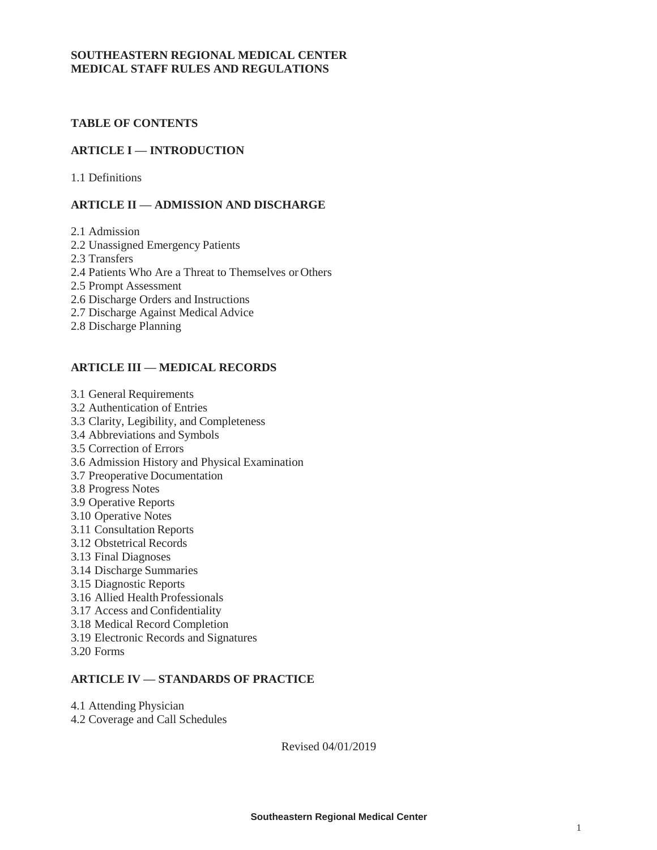### **SOUTHEASTERN REGIONAL MEDICAL CENTER MEDICAL STAFF RULES AND REGULATIONS**

## **TABLE OF CONTENTS**

### **ARTICLE I — INTRODUCTION**

1.1 Definitions

### **ARTICLE II — ADMISSION AND DISCHARGE**

2.1 Admission

- 2.2 Unassigned Emergency Patients
- 2.3 Transfers
- 2.4 Patients Who Are a Threat to Themselves or Others
- 2.5 Prompt Assessment
- 2.6 Discharge Orders and Instructions
- 2.7 Discharge Against Medical Advice
- 2.8 Discharge Planning

### **ARTICLE III — MEDICAL RECORDS**

- 3.1 General Requirements
- 3.2 Authentication of Entries
- 3.3 Clarity, Legibility, and Completeness
- 3.4 Abbreviations and Symbols
- 3.5 Correction of Errors
- 3.6 Admission History and Physical Examination
- 3.7 Preoperative Documentation
- 3.8 Progress Notes
- 3.9 Operative Reports
- 3.10 Operative Notes
- 3.11 Consultation Reports
- 3.12 Obstetrical Records
- 3.13 Final Diagnoses
- 3.14 Discharge Summaries
- 3.15 Diagnostic Reports
- 3.16 Allied Health Professionals
- 3.17 Access and Confidentiality
- 3.18 Medical Record Completion
- 3.19 Electronic Records and Signatures
- 3.20 Forms

## **ARTICLE IV — STANDARDS OF PRACTICE**

- 4.1 Attending Physician
- 4.2 Coverage and Call Schedules

Revised 04/01/2019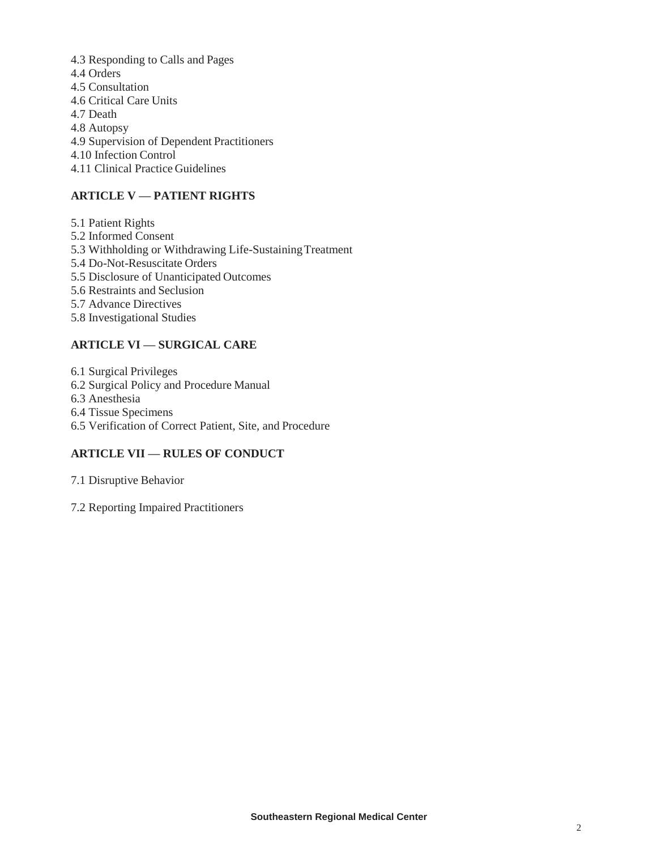4.3 Responding to Calls and Pages 4.4 Orders 4.5 Consultation 4.6 Critical Care Units 4.7 Death 4.8 Autopsy 4.9 Supervision of Dependent Practitioners 4.10 Infection Control 4.11 Clinical Practice Guidelines

# **ARTICLE V — PATIENT RIGHTS**

5.1 Patient Rights 5.2 Informed Consent 5.3 Withholding or Withdrawing Life-SustainingTreatment 5.4 Do-Not-Resuscitate Orders 5.5 Disclosure of Unanticipated Outcomes 5.6 Restraints and Seclusion 5.7 Advance Directives 5.8 Investigational Studies

# **ARTICLE VI — SURGICAL CARE**

6.1 Surgical Privileges

6.2 Surgical Policy and Procedure Manual

6.3 Anesthesia

6.4 Tissue Specimens

6.5 Verification of Correct Patient, Site, and Procedure

## **ARTICLE VII — RULES OF CONDUCT**

7.1 Disruptive Behavior

7.2 Reporting Impaired Practitioners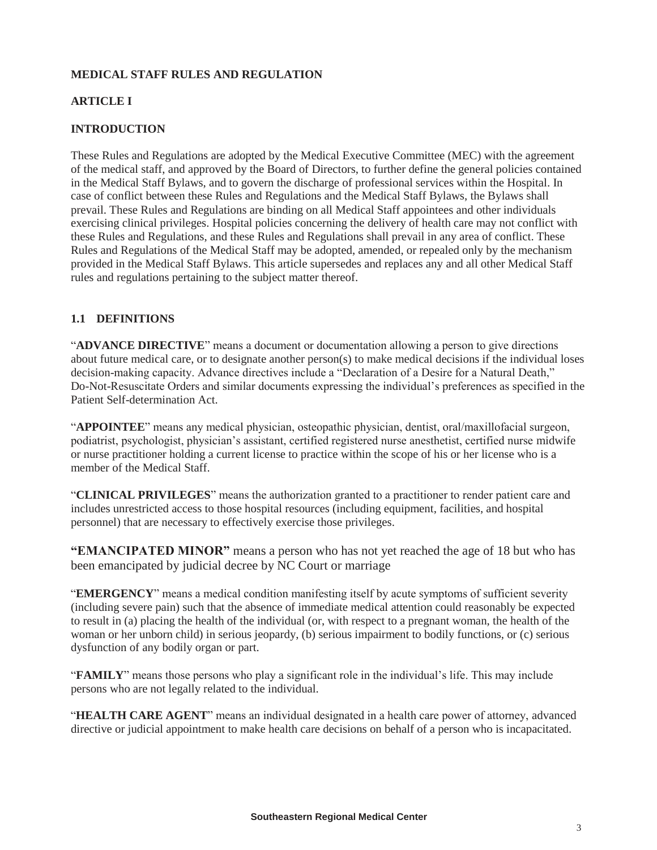# **MEDICAL STAFF RULES AND REGULATION**

### **ARTICLE I**

### **INTRODUCTION**

These Rules and Regulations are adopted by the Medical Executive Committee (MEC) with the agreement of the medical staff, and approved by the Board of Directors, to further define the general policies contained in the Medical Staff Bylaws, and to govern the discharge of professional services within the Hospital. In case of conflict between these Rules and Regulations and the Medical Staff Bylaws, the Bylaws shall prevail. These Rules and Regulations are binding on all Medical Staff appointees and other individuals exercising clinical privileges. Hospital policies concerning the delivery of health care may not conflict with these Rules and Regulations, and these Rules and Regulations shall prevail in any area of conflict. These Rules and Regulations of the Medical Staff may be adopted, amended, or repealed only by the mechanism provided in the Medical Staff Bylaws. This article supersedes and replaces any and all other Medical Staff rules and regulations pertaining to the subject matter thereof.

## **1.1 DEFINITIONS**

"**ADVANCE DIRECTIVE**" means a document or documentation allowing a person to give directions about future medical care, or to designate another person(s) to make medical decisions if the individual loses decision-making capacity. Advance directives include a "Declaration of a Desire for a Natural Death," Do-Not-Resuscitate Orders and similar documents expressing the individual's preferences as specified in the Patient Self-determination Act.

"**APPOINTEE**" means any medical physician, osteopathic physician, dentist, oral/maxillofacial surgeon, podiatrist, psychologist, physician's assistant, certified registered nurse anesthetist, certified nurse midwife or nurse practitioner holding a current license to practice within the scope of his or her license who is a member of the Medical Staff.

"**CLINICAL PRIVILEGES**" means the authorization granted to a practitioner to render patient care and includes unrestricted access to those hospital resources (including equipment, facilities, and hospital personnel) that are necessary to effectively exercise those privileges.

**"EMANCIPATED MINOR"** means a person who has not yet reached the age of 18 but who has been emancipated by judicial decree by NC Court or marriage

"**EMERGENCY**" means a medical condition manifesting itself by acute symptoms of sufficient severity (including severe pain) such that the absence of immediate medical attention could reasonably be expected to result in (a) placing the health of the individual (or, with respect to a pregnant woman, the health of the woman or her unborn child) in serious jeopardy, (b) serious impairment to bodily functions, or (c) serious dysfunction of any bodily organ or part.

"**FAMILY**" means those persons who play a significant role in the individual's life. This may include persons who are not legally related to the individual.

"**HEALTH CARE AGENT**" means an individual designated in a health care power of attorney, advanced directive or judicial appointment to make health care decisions on behalf of a person who is incapacitated.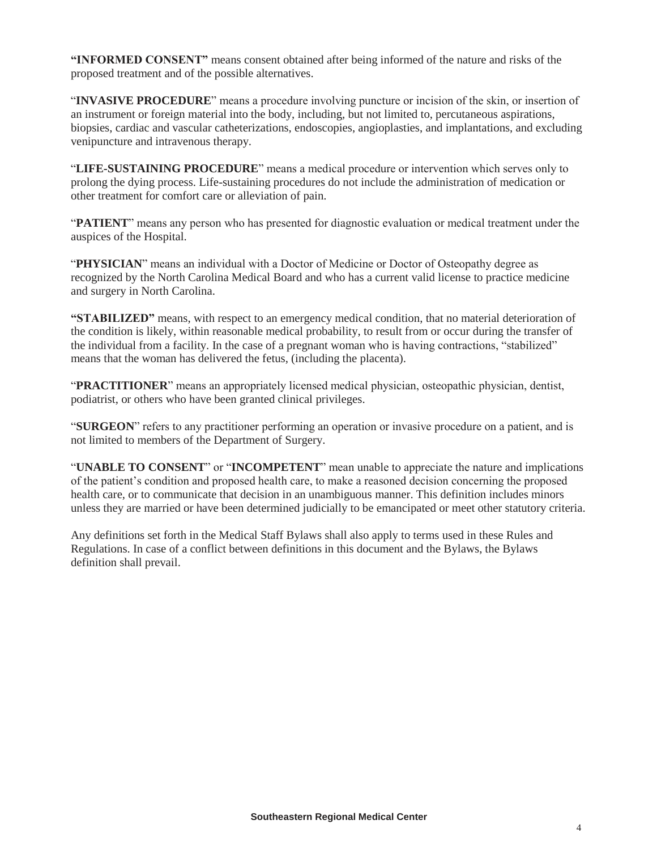**"INFORMED CONSENT"** means consent obtained after being informed of the nature and risks of the proposed treatment and of the possible alternatives.

"**INVASIVE PROCEDURE**" means a procedure involving puncture or incision of the skin, or insertion of an instrument or foreign material into the body, including, but not limited to, percutaneous aspirations, biopsies, cardiac and vascular catheterizations, endoscopies, angioplasties, and implantations, and excluding venipuncture and intravenous therapy.

"**LIFE-SUSTAINING PROCEDURE**" means a medical procedure or intervention which serves only to prolong the dying process. Life-sustaining procedures do not include the administration of medication or other treatment for comfort care or alleviation of pain.

"**PATIENT**" means any person who has presented for diagnostic evaluation or medical treatment under the auspices of the Hospital.

"**PHYSICIAN**" means an individual with a Doctor of Medicine or Doctor of Osteopathy degree as recognized by the North Carolina Medical Board and who has a current valid license to practice medicine and surgery in North Carolina.

**"STABILIZED"** means, with respect to an emergency medical condition, that no material deterioration of the condition is likely, within reasonable medical probability, to result from or occur during the transfer of the individual from a facility. In the case of a pregnant woman who is having contractions, "stabilized" means that the woman has delivered the fetus, (including the placenta).

"**PRACTITIONER**" means an appropriately licensed medical physician, osteopathic physician, dentist, podiatrist, or others who have been granted clinical privileges.

"**SURGEON**" refers to any practitioner performing an operation or invasive procedure on a patient, and is not limited to members of the Department of Surgery.

"**UNABLE TO CONSENT**" or "**INCOMPETENT**" mean unable to appreciate the nature and implications of the patient's condition and proposed health care, to make a reasoned decision concerning the proposed health care, or to communicate that decision in an unambiguous manner. This definition includes minors unless they are married or have been determined judicially to be emancipated or meet other statutory criteria.

Any definitions set forth in the Medical Staff Bylaws shall also apply to terms used in these Rules and Regulations. In case of a conflict between definitions in this document and the Bylaws, the Bylaws definition shall prevail.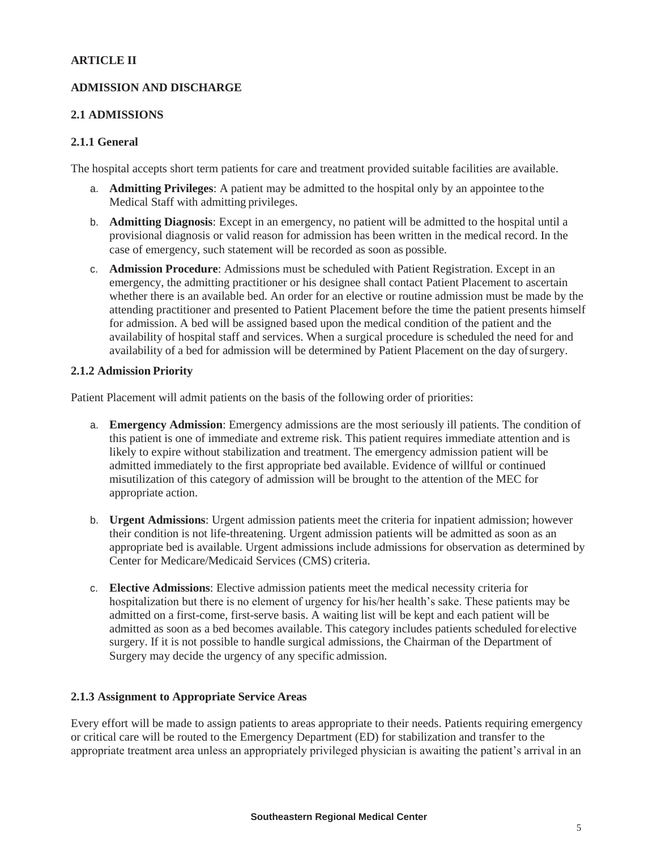### **ARTICLE II**

### **ADMISSION AND DISCHARGE**

### **2.1 ADMISSIONS**

### **2.1.1 General**

The hospital accepts short term patients for care and treatment provided suitable facilities are available.

- a. **Admitting Privileges**: A patient may be admitted to the hospital only by an appointee tothe Medical Staff with admitting privileges.
- b. **Admitting Diagnosis**: Except in an emergency, no patient will be admitted to the hospital until a provisional diagnosis or valid reason for admission has been written in the medical record. In the case of emergency, such statement will be recorded as soon as possible.
- c. **Admission Procedure**: Admissions must be scheduled with Patient Registration. Except in an emergency, the admitting practitioner or his designee shall contact Patient Placement to ascertain whether there is an available bed. An order for an elective or routine admission must be made by the attending practitioner and presented to Patient Placement before the time the patient presents himself for admission. A bed will be assigned based upon the medical condition of the patient and the availability of hospital staff and services. When a surgical procedure is scheduled the need for and availability of a bed for admission will be determined by Patient Placement on the day ofsurgery.

### **2.1.2 Admission Priority**

Patient Placement will admit patients on the basis of the following order of priorities:

- a. **Emergency Admission**: Emergency admissions are the most seriously ill patients. The condition of this patient is one of immediate and extreme risk. This patient requires immediate attention and is likely to expire without stabilization and treatment. The emergency admission patient will be admitted immediately to the first appropriate bed available. Evidence of willful or continued misutilization of this category of admission will be brought to the attention of the MEC for appropriate action.
- b. **Urgent Admissions**: Urgent admission patients meet the criteria for inpatient admission; however their condition is not life-threatening. Urgent admission patients will be admitted as soon as an appropriate bed is available. Urgent admissions include admissions for observation as determined by Center for Medicare/Medicaid Services (CMS) criteria.
- c. **Elective Admissions**: Elective admission patients meet the medical necessity criteria for hospitalization but there is no element of urgency for his/her health's sake. These patients may be admitted on a first-come, first-serve basis. A waiting list will be kept and each patient will be admitted as soon as a bed becomes available. This category includes patients scheduled for elective surgery. If it is not possible to handle surgical admissions, the Chairman of the Department of Surgery may decide the urgency of any specific admission.

### **2.1.3 Assignment to Appropriate Service Areas**

Every effort will be made to assign patients to areas appropriate to their needs. Patients requiring emergency or critical care will be routed to the Emergency Department (ED) for stabilization and transfer to the appropriate treatment area unless an appropriately privileged physician is awaiting the patient's arrival in an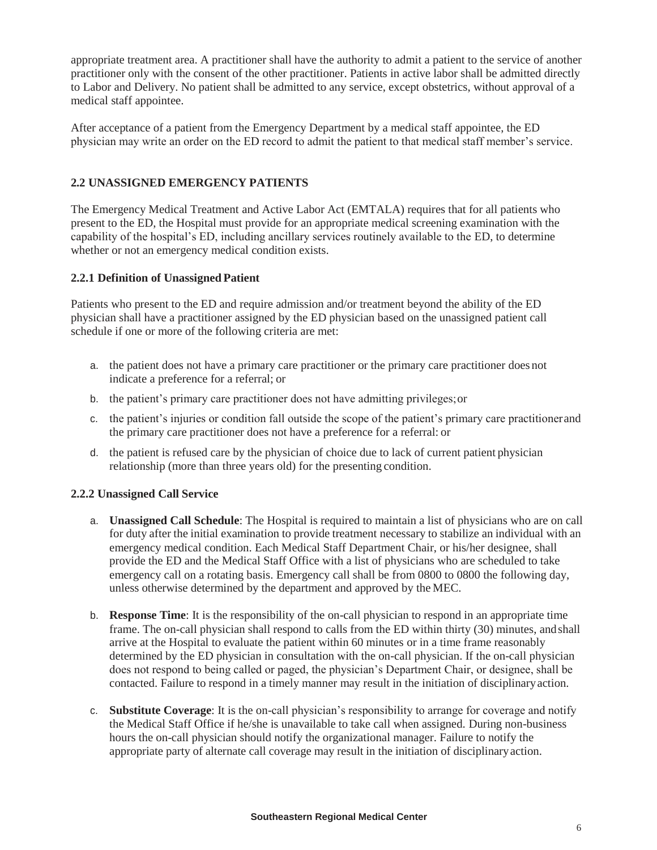appropriate treatment area. A practitioner shall have the authority to admit a patient to the service of another practitioner only with the consent of the other practitioner. Patients in active labor shall be admitted directly to Labor and Delivery. No patient shall be admitted to any service, except obstetrics, without approval of a medical staff appointee.

After acceptance of a patient from the Emergency Department by a medical staff appointee, the ED physician may write an order on the ED record to admit the patient to that medical staff member's service.

## **2.2 UNASSIGNED EMERGENCY PATIENTS**

The Emergency Medical Treatment and Active Labor Act (EMTALA) requires that for all patients who present to the ED, the Hospital must provide for an appropriate medical screening examination with the capability of the hospital's ED, including ancillary services routinely available to the ED, to determine whether or not an emergency medical condition exists.

### **2.2.1 Definition of Unassigned Patient**

Patients who present to the ED and require admission and/or treatment beyond the ability of the ED physician shall have a practitioner assigned by the ED physician based on the unassigned patient call schedule if one or more of the following criteria are met:

- a. the patient does not have a primary care practitioner or the primary care practitioner does not indicate a preference for a referral; or
- b. the patient's primary care practitioner does not have admitting privileges;or
- c. the patient's injuries or condition fall outside the scope of the patient's primary care practitionerand the primary care practitioner does not have a preference for a referral: or
- d. the patient is refused care by the physician of choice due to lack of current patient physician relationship (more than three years old) for the presenting condition.

### **2.2.2 Unassigned Call Service**

- a. **Unassigned Call Schedule**: The Hospital is required to maintain a list of physicians who are on call for duty after the initial examination to provide treatment necessary to stabilize an individual with an emergency medical condition. Each Medical Staff Department Chair, or his/her designee, shall provide the ED and the Medical Staff Office with a list of physicians who are scheduled to take emergency call on a rotating basis. Emergency call shall be from 0800 to 0800 the following day, unless otherwise determined by the department and approved by the MEC.
- b. **Response Time**: It is the responsibility of the on-call physician to respond in an appropriate time frame. The on-call physician shall respond to calls from the ED within thirty (30) minutes, andshall arrive at the Hospital to evaluate the patient within 60 minutes or in a time frame reasonably determined by the ED physician in consultation with the on-call physician. If the on-call physician does not respond to being called or paged, the physician's Department Chair, or designee, shall be contacted. Failure to respond in a timely manner may result in the initiation of disciplinaryaction.
- c. **Substitute Coverage**: It is the on-call physician's responsibility to arrange for coverage and notify the Medical Staff Office if he/she is unavailable to take call when assigned. During non-business hours the on-call physician should notify the organizational manager. Failure to notify the appropriate party of alternate call coverage may result in the initiation of disciplinaryaction.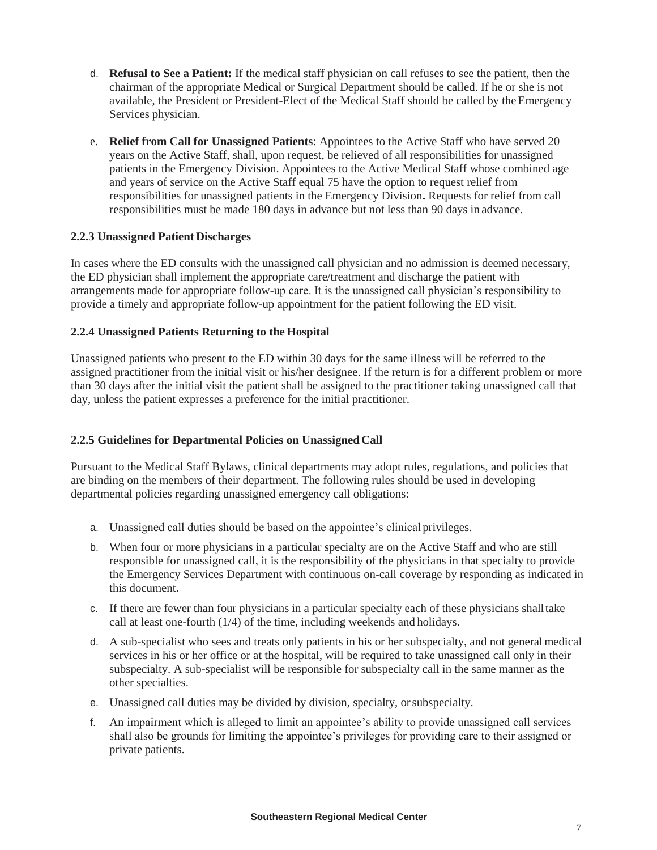- d. **Refusal to See a Patient:** If the medical staff physician on call refuses to see the patient, then the chairman of the appropriate Medical or Surgical Department should be called. If he or she is not available, the President or President-Elect of the Medical Staff should be called by the Emergency Services physician.
- e. **Relief from Call for Unassigned Patients**: Appointees to the Active Staff who have served 20 years on the Active Staff, shall, upon request, be relieved of all responsibilities for unassigned patients in the Emergency Division. Appointees to the Active Medical Staff whose combined age and years of service on the Active Staff equal 75 have the option to request relief from responsibilities for unassigned patients in the Emergency Division**.** Requests for relief from call responsibilities must be made 180 days in advance but not less than 90 days in advance.

### **2.2.3 Unassigned Patient Discharges**

In cases where the ED consults with the unassigned call physician and no admission is deemed necessary, the ED physician shall implement the appropriate care/treatment and discharge the patient with arrangements made for appropriate follow-up care. It is the unassigned call physician's responsibility to provide a timely and appropriate follow-up appointment for the patient following the ED visit.

### **2.2.4 Unassigned Patients Returning to the Hospital**

Unassigned patients who present to the ED within 30 days for the same illness will be referred to the assigned practitioner from the initial visit or his/her designee. If the return is for a different problem or more than 30 days after the initial visit the patient shall be assigned to the practitioner taking unassigned call that day, unless the patient expresses a preference for the initial practitioner.

### **2.2.5 Guidelines for Departmental Policies on Unassigned Call**

Pursuant to the Medical Staff Bylaws, clinical departments may adopt rules, regulations, and policies that are binding on the members of their department. The following rules should be used in developing departmental policies regarding unassigned emergency call obligations:

- a. Unassigned call duties should be based on the appointee's clinical privileges.
- b. When four or more physicians in a particular specialty are on the Active Staff and who are still responsible for unassigned call, it is the responsibility of the physicians in that specialty to provide the Emergency Services Department with continuous on-call coverage by responding as indicated in this document.
- c. If there are fewer than four physicians in a particular specialty each of these physicians shalltake call at least one-fourth (1/4) of the time, including weekends and holidays.
- d. A sub-specialist who sees and treats only patients in his or her subspecialty, and not general medical services in his or her office or at the hospital, will be required to take unassigned call only in their subspecialty. A sub-specialist will be responsible for subspecialty call in the same manner as the other specialties.
- e. Unassigned call duties may be divided by division, specialty, orsubspecialty.
- f. An impairment which is alleged to limit an appointee's ability to provide unassigned call services shall also be grounds for limiting the appointee's privileges for providing care to their assigned or private patients.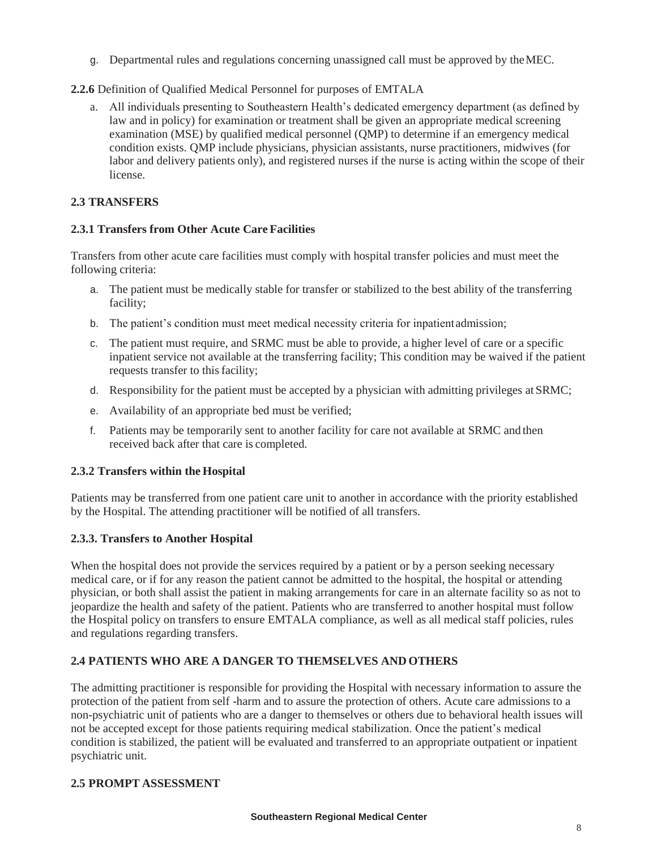g. Departmental rules and regulations concerning unassigned call must be approved by theMEC.

# **2.2.6** Definition of Qualified Medical Personnel for purposes of EMTALA

a. All individuals presenting to Southeastern Health's dedicated emergency department (as defined by law and in policy) for examination or treatment shall be given an appropriate medical screening examination (MSE) by qualified medical personnel (QMP) to determine if an emergency medical condition exists. QMP include physicians, physician assistants, nurse practitioners, midwives (for labor and delivery patients only), and registered nurses if the nurse is acting within the scope of their license.

## **2.3 TRANSFERS**

## **2.3.1 Transfers from Other Acute Care Facilities**

Transfers from other acute care facilities must comply with hospital transfer policies and must meet the following criteria:

- a. The patient must be medically stable for transfer or stabilized to the best ability of the transferring facility;
- b. The patient's condition must meet medical necessity criteria for inpatientadmission;
- c. The patient must require, and SRMC must be able to provide, a higher level of care or a specific inpatient service not available at the transferring facility; This condition may be waived if the patient requests transfer to this facility;
- d. Responsibility for the patient must be accepted by a physician with admitting privileges at SRMC;
- e. Availability of an appropriate bed must be verified;
- f. Patients may be temporarily sent to another facility for care not available at SRMC and then received back after that care is completed.

# **2.3.2 Transfers within the Hospital**

Patients may be transferred from one patient care unit to another in accordance with the priority established by the Hospital. The attending practitioner will be notified of all transfers.

## **2.3.3. Transfers to Another Hospital**

When the hospital does not provide the services required by a patient or by a person seeking necessary medical care, or if for any reason the patient cannot be admitted to the hospital, the hospital or attending physician, or both shall assist the patient in making arrangements for care in an alternate facility so as not to jeopardize the health and safety of the patient. Patients who are transferred to another hospital must follow the Hospital policy on transfers to ensure EMTALA compliance, as well as all medical staff policies, rules and regulations regarding transfers.

# **2.4 PATIENTS WHO ARE A DANGER TO THEMSELVES AND OTHERS**

The admitting practitioner is responsible for providing the Hospital with necessary information to assure the protection of the patient from self -harm and to assure the protection of others. Acute care admissions to a non-psychiatric unit of patients who are a danger to themselves or others due to behavioral health issues will not be accepted except for those patients requiring medical stabilization. Once the patient's medical condition is stabilized, the patient will be evaluated and transferred to an appropriate outpatient or inpatient psychiatric unit.

## **2.5 PROMPT ASSESSMENT**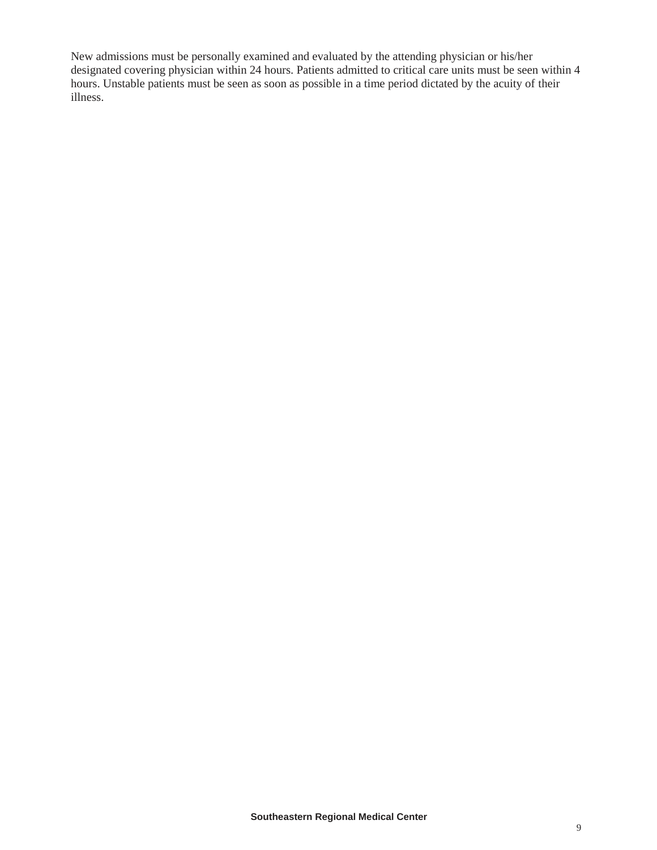New admissions must be personally examined and evaluated by the attending physician or his/her designated covering physician within 24 hours. Patients admitted to critical care units must be seen within 4 hours. Unstable patients must be seen as soon as possible in a time period dictated by the acuity of their illness.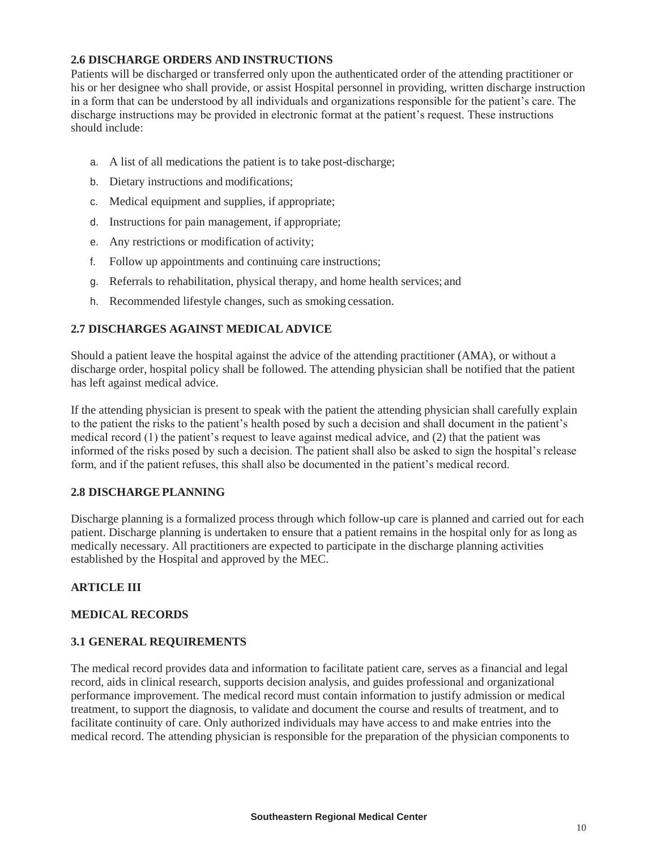### **2.6 DISCHARGE ORDERS AND INSTRUCTIONS**

Patients will be discharged or transferred only upon the authenticated order of the attending practitioner or his or her designee who shall provide, or assist Hospital personnel in providing, written discharge instruction in a form that can be understood by all individuals and organizations responsible for the patient's care. The discharge instructions may be provided in electronic format at the patient's request. These instructions should include:

- a. A list of all medications the patient is to take post-discharge;
- b. Dietary instructions and modifications;
- c. Medical equipment and supplies, if appropriate;
- d. Instructions for pain management, if appropriate;
- e. Any restrictions or modification of activity;
- f. Follow up appointments and continuing care instructions;
- g. Referrals to rehabilitation, physical therapy, and home health services; and
- h. Recommended lifestyle changes, such as smoking cessation.

## **2.7 DISCHARGES AGAINST MEDICAL ADVICE**

Should a patient leave the hospital against the advice of the attending practitioner (AMA), or without a discharge order, hospital policy shall be followed. The attending physician shall be notified that the patient has left against medical advice.

If the attending physician is present to speak with the patient the attending physician shall carefully explain to the patient the risks to the patient's health posed by such a decision and shall document in the patient's medical record (1) the patient's request to leave against medical advice, and (2) that the patient was informed of the risks posed by such a decision. The patient shall also be asked to sign the hospital's release form, and if the patient refuses, this shall also be documented in the patient's medical record.

## **2.8 DISCHARGE PLANNING**

Discharge planning is a formalized process through which follow-up care is planned and carried out for each patient. Discharge planning is undertaken to ensure that a patient remains in the hospital only for as long as medically necessary. All practitioners are expected to participate in the discharge planning activities established by the Hospital and approved by the MEC.

## **ARTICLE III**

## **MEDICAL RECORDS**

## **3.1 GENERAL REQUIREMENTS**

The medical record provides data and information to facilitate patient care, serves as a financial and legal record, aids in clinical research, supports decision analysis, and guides professional and organizational performance improvement. The medical record must contain information to justify admission or medical treatment, to support the diagnosis, to validate and document the course and results of treatment, and to facilitate continuity of care. Only authorized individuals may have access to and make entries into the medical record. The attending physician is responsible for the preparation of the physician components to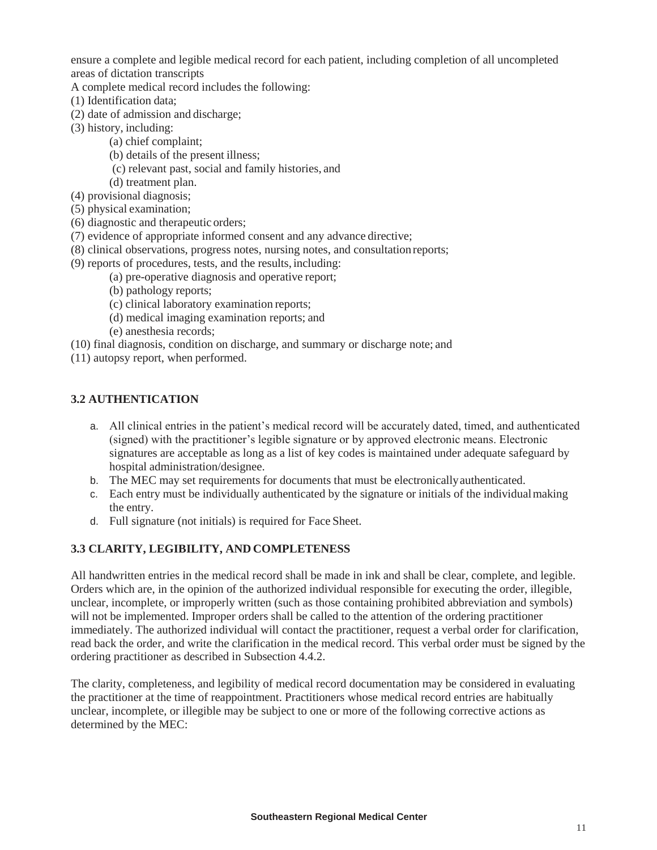ensure a complete and legible medical record for each patient, including completion of all uncompleted areas of dictation transcripts

A complete medical record includes the following:

- (1) Identification data;
- (2) date of admission and discharge;
- (3) history, including:
	- (a) chief complaint;
	- (b) details of the present illness;
	- (c) relevant past, social and family histories, and
	- (d) treatment plan.
- (4) provisional diagnosis;
- (5) physical examination;
- (6) diagnostic and therapeutic orders;
- (7) evidence of appropriate informed consent and any advance directive;
- (8) clinical observations, progress notes, nursing notes, and consultation reports;
- (9) reports of procedures, tests, and the results, including:
	- (a) pre-operative diagnosis and operative report;
	- (b) pathology reports;
	- (c) clinical laboratory examination reports;
	- (d) medical imaging examination reports; and
	- (e) anesthesia records;
- (10) final diagnosis, condition on discharge, and summary or discharge note; and
- (11) autopsy report, when performed.

## **3.2 AUTHENTICATION**

- a. All clinical entries in the patient's medical record will be accurately dated, timed, and authenticated (signed) with the practitioner's legible signature or by approved electronic means. Electronic signatures are acceptable as long as a list of key codes is maintained under adequate safeguard by hospital administration/designee.
- b. The MEC may set requirements for documents that must be electronicallyauthenticated.
- c. Each entry must be individually authenticated by the signature or initials of the individualmaking the entry.
- d. Full signature (not initials) is required for Face Sheet.

## **3.3 CLARITY, LEGIBILITY, AND COMPLETENESS**

All handwritten entries in the medical record shall be made in ink and shall be clear, complete, and legible. Orders which are, in the opinion of the authorized individual responsible for executing the order, illegible, unclear, incomplete, or improperly written (such as those containing prohibited abbreviation and symbols) will not be implemented. Improper orders shall be called to the attention of the ordering practitioner immediately. The authorized individual will contact the practitioner, request a verbal order for clarification, read back the order, and write the clarification in the medical record. This verbal order must be signed by the ordering practitioner as described in Subsection 4.4.2.

The clarity, completeness, and legibility of medical record documentation may be considered in evaluating the practitioner at the time of reappointment. Practitioners whose medical record entries are habitually unclear, incomplete, or illegible may be subject to one or more of the following corrective actions as determined by the MEC: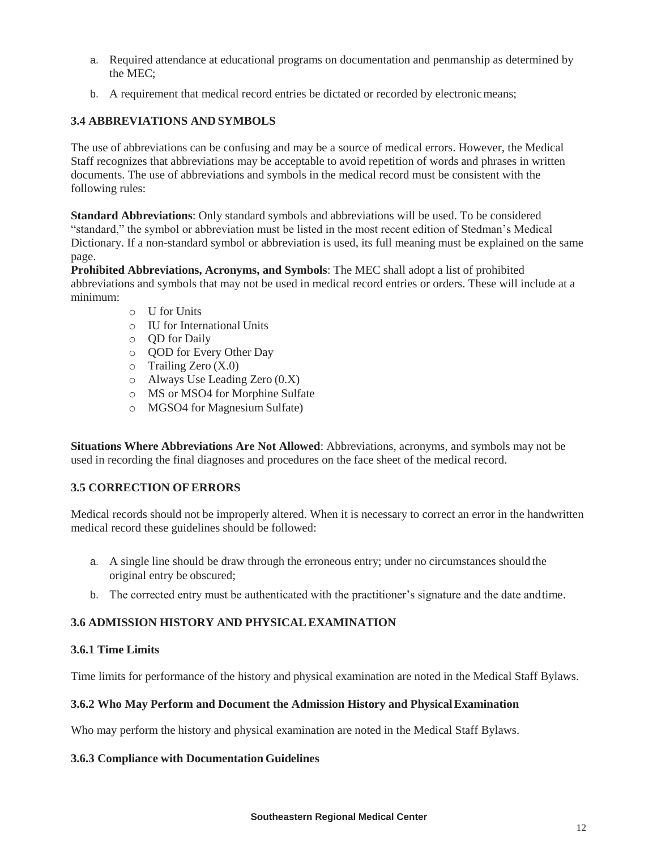- a. Required attendance at educational programs on documentation and penmanship as determined by the MEC;
- b. A requirement that medical record entries be dictated or recorded by electronic means;

### **3.4 ABBREVIATIONS AND SYMBOLS**

The use of abbreviations can be confusing and may be a source of medical errors. However, the Medical Staff recognizes that abbreviations may be acceptable to avoid repetition of words and phrases in written documents. The use of abbreviations and symbols in the medical record must be consistent with the following rules:

**Standard Abbreviations**: Only standard symbols and abbreviations will be used. To be considered "standard," the symbol or abbreviation must be listed in the most recent edition of Stedman's Medical Dictionary. If a non-standard symbol or abbreviation is used, its full meaning must be explained on the same page.

**Prohibited Abbreviations, Acronyms, and Symbols**: The MEC shall adopt a list of prohibited abbreviations and symbols that may not be used in medical record entries or orders. These will include at a minimum:

- o U for Units
- o IU for International Units
- o QD for Daily
- o QOD for Every Other Day
- $\circ$  Trailing Zero (X.0)
- o Always Use Leading Zero (0.X)
- o MS or MSO4 for Morphine Sulfate
- o MGSO4 for Magnesium Sulfate)

**Situations Where Abbreviations Are Not Allowed**: Abbreviations, acronyms, and symbols may not be used in recording the final diagnoses and procedures on the face sheet of the medical record.

### **3.5 CORRECTION OF ERRORS**

Medical records should not be improperly altered. When it is necessary to correct an error in the handwritten medical record these guidelines should be followed:

- a. A single line should be draw through the erroneous entry; under no circumstances should the original entry be obscured;
- b. The corrected entry must be authenticated with the practitioner's signature and the date andtime.

### **3.6 ADMISSION HISTORY AND PHYSICALEXAMINATION**

#### **3.6.1 Time Limits**

Time limits for performance of the history and physical examination are noted in the Medical Staff Bylaws.

### **3.6.2 Who May Perform and Document the Admission History and PhysicalExamination**

Who may perform the history and physical examination are noted in the Medical Staff Bylaws.

### **3.6.3 Compliance with Documentation Guidelines**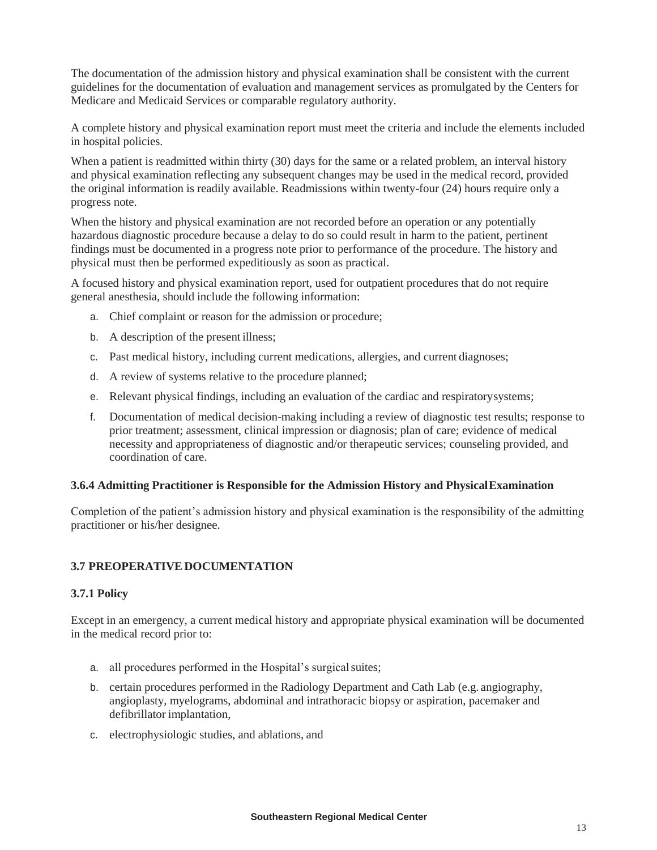The documentation of the admission history and physical examination shall be consistent with the current guidelines for the documentation of evaluation and management services as promulgated by the Centers for Medicare and Medicaid Services or comparable regulatory authority.

A complete history and physical examination report must meet the criteria and include the elements included in hospital policies.

When a patient is readmitted within thirty (30) days for the same or a related problem, an interval history and physical examination reflecting any subsequent changes may be used in the medical record, provided the original information is readily available. Readmissions within twenty-four (24) hours require only a progress note.

When the history and physical examination are not recorded before an operation or any potentially hazardous diagnostic procedure because a delay to do so could result in harm to the patient, pertinent findings must be documented in a progress note prior to performance of the procedure. The history and physical must then be performed expeditiously as soon as practical.

A focused history and physical examination report, used for outpatient procedures that do not require general anesthesia, should include the following information:

- a. Chief complaint or reason for the admission or procedure;
- b. A description of the present illness;
- c. Past medical history, including current medications, allergies, and current diagnoses;
- d. A review of systems relative to the procedure planned;
- e. Relevant physical findings, including an evaluation of the cardiac and respiratorysystems;
- f. Documentation of medical decision-making including a review of diagnostic test results; response to prior treatment; assessment, clinical impression or diagnosis; plan of care; evidence of medical necessity and appropriateness of diagnostic and/or therapeutic services; counseling provided, and coordination of care.

#### **3.6.4 Admitting Practitioner is Responsible for the Admission History and PhysicalExamination**

Completion of the patient's admission history and physical examination is the responsibility of the admitting practitioner or his/her designee.

### **3.7 PREOPERATIVE DOCUMENTATION**

### **3.7.1 Policy**

Except in an emergency, a current medical history and appropriate physical examination will be documented in the medical record prior to:

- a. all procedures performed in the Hospital's surgical suites;
- b. certain procedures performed in the Radiology Department and Cath Lab (e.g. angiography, angioplasty, myelograms, abdominal and intrathoracic biopsy or aspiration, pacemaker and defibrillator implantation,
- c. electrophysiologic studies, and ablations, and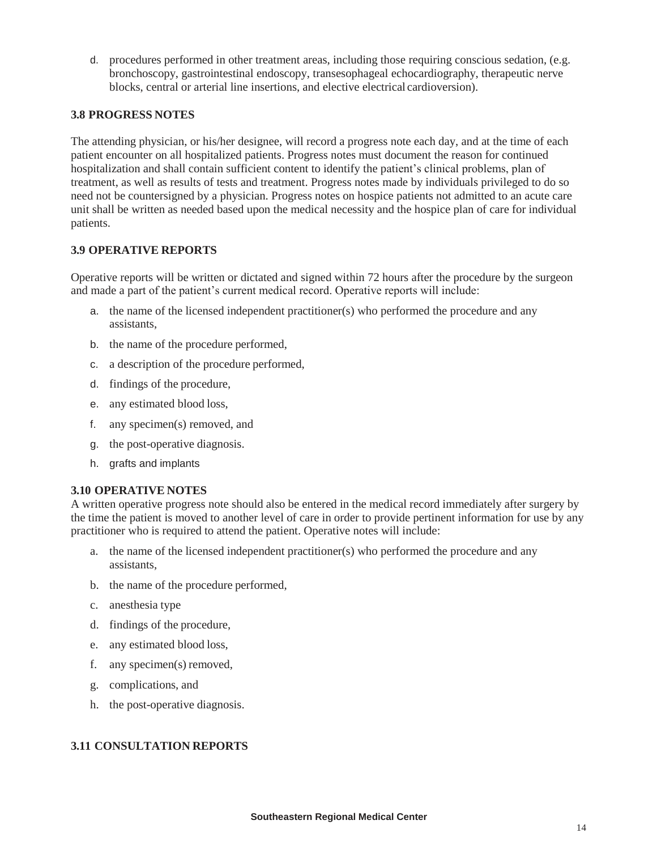d. procedures performed in other treatment areas, including those requiring conscious sedation, (e.g. bronchoscopy, gastrointestinal endoscopy, transesophageal echocardiography, therapeutic nerve blocks, central or arterial line insertions, and elective electrical cardioversion).

### **3.8 PROGRESS NOTES**

The attending physician, or his/her designee, will record a progress note each day, and at the time of each patient encounter on all hospitalized patients. Progress notes must document the reason for continued hospitalization and shall contain sufficient content to identify the patient's clinical problems, plan of treatment, as well as results of tests and treatment. Progress notes made by individuals privileged to do so need not be countersigned by a physician. Progress notes on hospice patients not admitted to an acute care unit shall be written as needed based upon the medical necessity and the hospice plan of care for individual patients.

### **3.9 OPERATIVE REPORTS**

Operative reports will be written or dictated and signed within 72 hours after the procedure by the surgeon and made a part of the patient's current medical record. Operative reports will include:

- a. the name of the licensed independent practitioner(s) who performed the procedure and any assistants,
- b. the name of the procedure performed,
- c. a description of the procedure performed,
- d. findings of the procedure,
- e. any estimated blood loss,
- f. any specimen(s) removed, and
- g. the post-operative diagnosis.
- h. grafts and implants

### **3.10 OPERATIVE NOTES**

A written operative progress note should also be entered in the medical record immediately after surgery by the time the patient is moved to another level of care in order to provide pertinent information for use by any practitioner who is required to attend the patient. Operative notes will include:

- a. the name of the licensed independent practitioner(s) who performed the procedure and any assistants,
- b. the name of the procedure performed,
- c. anesthesia type
- d. findings of the procedure,
- e. any estimated blood loss,
- f. any specimen(s) removed,
- g. complications, and
- h. the post-operative diagnosis.

## **3.11 CONSULTATION REPORTS**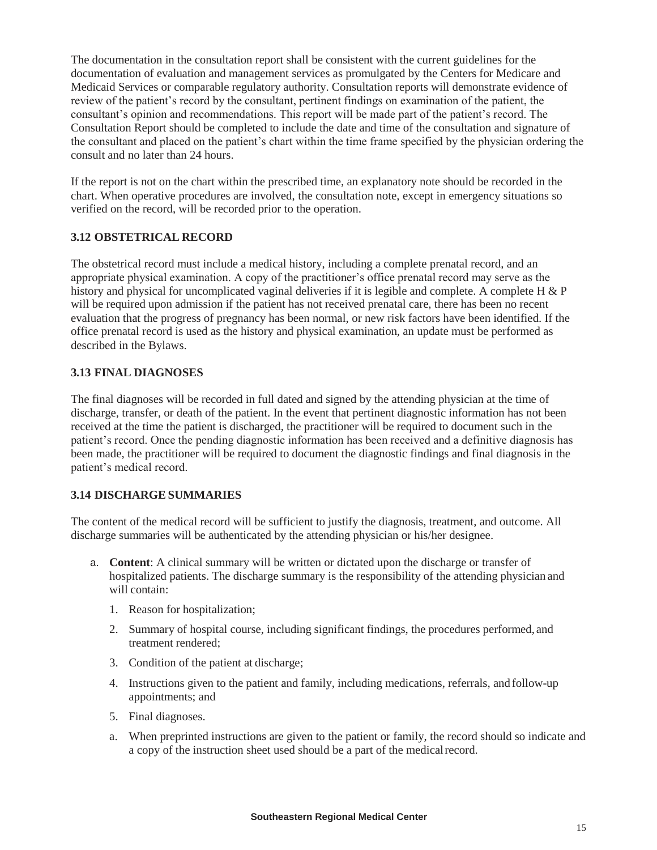The documentation in the consultation report shall be consistent with the current guidelines for the documentation of evaluation and management services as promulgated by the Centers for Medicare and Medicaid Services or comparable regulatory authority. Consultation reports will demonstrate evidence of review of the patient's record by the consultant, pertinent findings on examination of the patient, the consultant's opinion and recommendations. This report will be made part of the patient's record. The Consultation Report should be completed to include the date and time of the consultation and signature of the consultant and placed on the patient's chart within the time frame specified by the physician ordering the consult and no later than 24 hours.

If the report is not on the chart within the prescribed time, an explanatory note should be recorded in the chart. When operative procedures are involved, the consultation note, except in emergency situations so verified on the record, will be recorded prior to the operation.

### **3.12 OBSTETRICAL RECORD**

The obstetrical record must include a medical history, including a complete prenatal record, and an appropriate physical examination. A copy of the practitioner's office prenatal record may serve as the history and physical for uncomplicated vaginal deliveries if it is legible and complete. A complete H & P will be required upon admission if the patient has not received prenatal care, there has been no recent evaluation that the progress of pregnancy has been normal, or new risk factors have been identified. If the office prenatal record is used as the history and physical examination, an update must be performed as described in the Bylaws.

### **3.13 FINAL DIAGNOSES**

The final diagnoses will be recorded in full dated and signed by the attending physician at the time of discharge, transfer, or death of the patient. In the event that pertinent diagnostic information has not been received at the time the patient is discharged, the practitioner will be required to document such in the patient's record. Once the pending diagnostic information has been received and a definitive diagnosis has been made, the practitioner will be required to document the diagnostic findings and final diagnosis in the patient's medical record.

## **3.14 DISCHARGE SUMMARIES**

The content of the medical record will be sufficient to justify the diagnosis, treatment, and outcome. All discharge summaries will be authenticated by the attending physician or his/her designee.

- a. **Content**: A clinical summary will be written or dictated upon the discharge or transfer of hospitalized patients. The discharge summary is the responsibility of the attending physician and will contain:
	- 1. Reason for hospitalization;
	- 2. Summary of hospital course, including significant findings, the procedures performed, and treatment rendered;
	- 3. Condition of the patient at discharge;
	- 4. Instructions given to the patient and family, including medications, referrals, and follow-up appointments; and
	- 5. Final diagnoses.
	- a. When preprinted instructions are given to the patient or family, the record should so indicate and a copy of the instruction sheet used should be a part of the medicalrecord.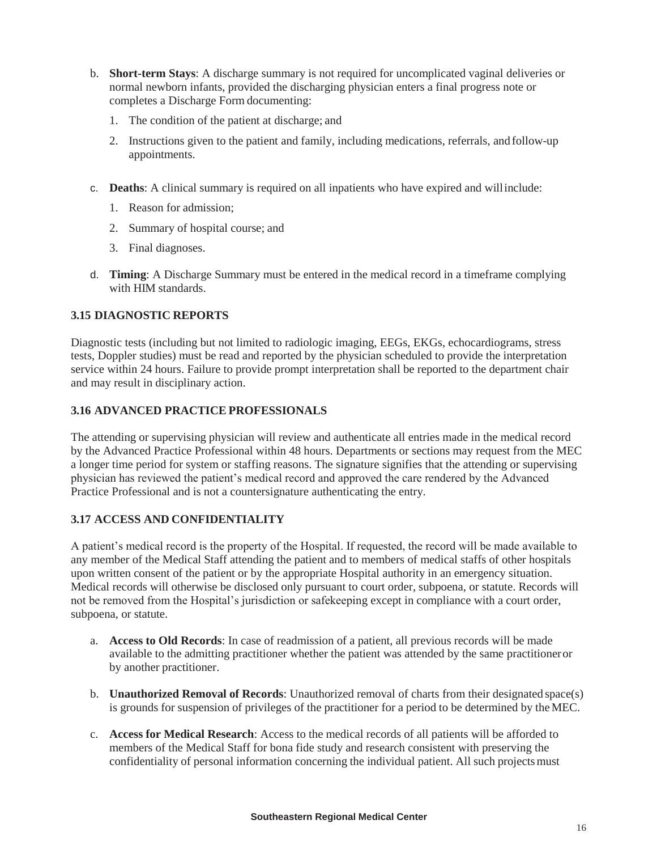- b. **Short-term Stays**: A discharge summary is not required for uncomplicated vaginal deliveries or normal newborn infants, provided the discharging physician enters a final progress note or completes a Discharge Form documenting:
	- 1. The condition of the patient at discharge; and
	- 2. Instructions given to the patient and family, including medications, referrals, and follow-up appointments.
- c. **Deaths**: A clinical summary is required on all inpatients who have expired and willinclude:
	- 1. Reason for admission;
	- 2. Summary of hospital course; and
	- 3. Final diagnoses.
- d. **Timing**: A Discharge Summary must be entered in the medical record in a timeframe complying with HIM standards.

## **3.15 DIAGNOSTIC REPORTS**

Diagnostic tests (including but not limited to radiologic imaging, EEGs, EKGs, echocardiograms, stress tests, Doppler studies) must be read and reported by the physician scheduled to provide the interpretation service within 24 hours. Failure to provide prompt interpretation shall be reported to the department chair and may result in disciplinary action.

## **3.16 ADVANCED PRACTICE PROFESSIONALS**

The attending or supervising physician will review and authenticate all entries made in the medical record by the Advanced Practice Professional within 48 hours. Departments or sections may request from the MEC a longer time period for system or staffing reasons. The signature signifies that the attending or supervising physician has reviewed the patient's medical record and approved the care rendered by the Advanced Practice Professional and is not a countersignature authenticating the entry.

## **3.17 ACCESS AND CONFIDENTIALITY**

A patient's medical record is the property of the Hospital. If requested, the record will be made available to any member of the Medical Staff attending the patient and to members of medical staffs of other hospitals upon written consent of the patient or by the appropriate Hospital authority in an emergency situation. Medical records will otherwise be disclosed only pursuant to court order, subpoena, or statute. Records will not be removed from the Hospital's jurisdiction or safekeeping except in compliance with a court order, subpoena, or statute.

- a. **Access to Old Records**: In case of readmission of a patient, all previous records will be made available to the admitting practitioner whether the patient was attended by the same practitioneror by another practitioner.
- b. **Unauthorized Removal of Records**: Unauthorized removal of charts from their designated space(s) is grounds for suspension of privileges of the practitioner for a period to be determined by theMEC.
- c. **Access for Medical Research**: Access to the medical records of all patients will be afforded to members of the Medical Staff for bona fide study and research consistent with preserving the confidentiality of personal information concerning the individual patient. All such projects must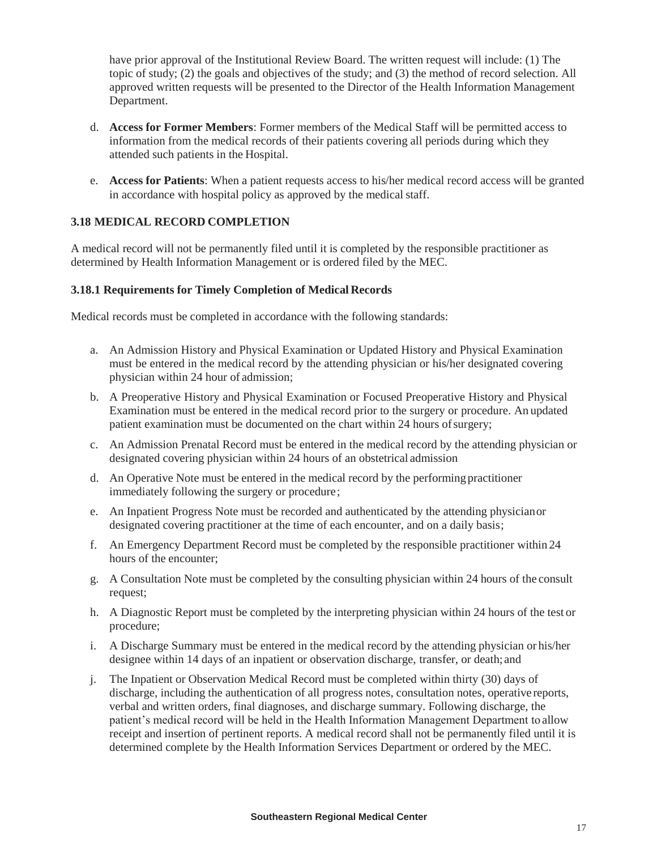have prior approval of the Institutional Review Board. The written request will include: (1) The topic of study; (2) the goals and objectives of the study; and (3) the method of record selection. All approved written requests will be presented to the Director of the Health Information Management Department.

- d. **Access for Former Members**: Former members of the Medical Staff will be permitted access to information from the medical records of their patients covering all periods during which they attended such patients in the Hospital.
- e. **Access for Patients**: When a patient requests access to his/her medical record access will be granted in accordance with hospital policy as approved by the medical staff.

## **3.18 MEDICAL RECORD COMPLETION**

A medical record will not be permanently filed until it is completed by the responsible practitioner as determined by Health Information Management or is ordered filed by the MEC.

### **3.18.1 Requirements for Timely Completion of Medical Records**

Medical records must be completed in accordance with the following standards:

- a. An Admission History and Physical Examination or Updated History and Physical Examination must be entered in the medical record by the attending physician or his/her designated covering physician within 24 hour of admission;
- b. A Preoperative History and Physical Examination or Focused Preoperative History and Physical Examination must be entered in the medical record prior to the surgery or procedure. An updated patient examination must be documented on the chart within 24 hours of surgery;
- c. An Admission Prenatal Record must be entered in the medical record by the attending physician or designated covering physician within 24 hours of an obstetrical admission
- d. An Operative Note must be entered in the medical record by the performingpractitioner immediately following the surgery or procedure;
- e. An Inpatient Progress Note must be recorded and authenticated by the attending physicianor designated covering practitioner at the time of each encounter, and on a daily basis;
- f. An Emergency Department Record must be completed by the responsible practitioner within 24 hours of the encounter;
- g. A Consultation Note must be completed by the consulting physician within 24 hours of the consult request;
- h. A Diagnostic Report must be completed by the interpreting physician within 24 hours of the test or procedure;
- i. A Discharge Summary must be entered in the medical record by the attending physician or his/her designee within 14 days of an inpatient or observation discharge, transfer, or death; and
- j. The Inpatient or Observation Medical Record must be completed within thirty (30) days of discharge, including the authentication of all progress notes, consultation notes, operative reports, verbal and written orders, final diagnoses, and discharge summary. Following discharge, the patient's medical record will be held in the Health Information Management Department to allow receipt and insertion of pertinent reports. A medical record shall not be permanently filed until it is determined complete by the Health Information Services Department or ordered by the MEC.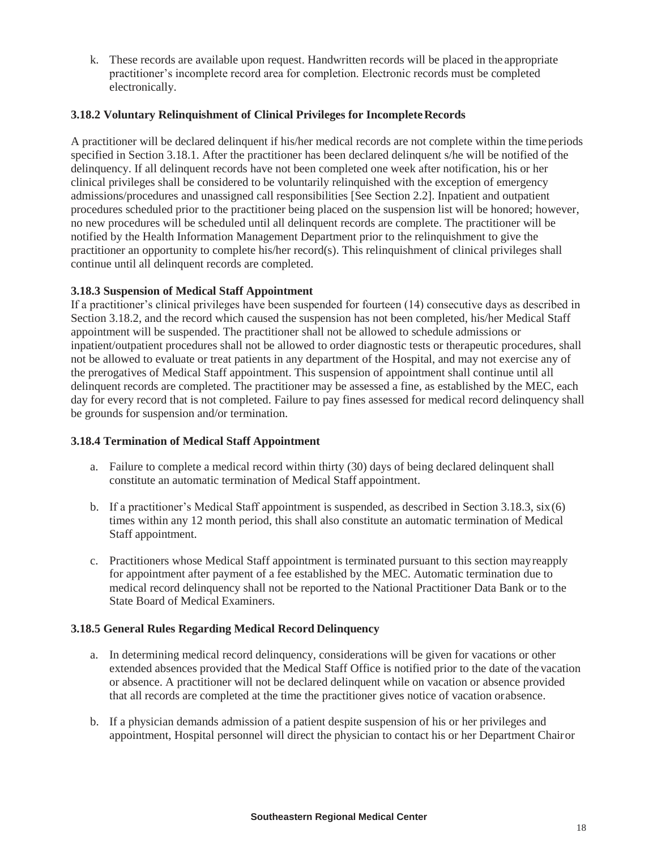k. These records are available upon request. Handwritten records will be placed in the appropriate practitioner's incomplete record area for completion. Electronic records must be completed electronically.

### **3.18.2** Voluntary Relinquishment of Clinical Privileges for Incomplete Records

A practitioner will be declared delinquent if his/her medical records are not complete within the time periods specified in Section 3.18.1. After the practitioner has been declared delinquent s/he will be notified of the delinquency. If all delinquent records have not been completed one week after notification, his or her clinical privileges shall be considered to be voluntarily relinquished with the exception of emergency admissions/procedures and unassigned call responsibilities [See Section 2.2]. Inpatient and outpatient procedures scheduled prior to the practitioner being placed on the suspension list will be honored; however, no new procedures will be scheduled until all delinquent records are complete. The practitioner will be notified by the Health Information Management Department prior to the relinquishment to give the practitioner an opportunity to complete his/her record(s). This relinquishment of clinical privileges shall continue until all delinquent records are completed.

### **3.18.3 Suspension of Medical Staff Appointment**

If a practitioner's clinical privileges have been suspended for fourteen (14) consecutive days as described in Section 3.18.2, and the record which caused the suspension has not been completed, his/her Medical Staff appointment will be suspended. The practitioner shall not be allowed to schedule admissions or inpatient/outpatient procedures shall not be allowed to order diagnostic tests or therapeutic procedures, shall not be allowed to evaluate or treat patients in any department of the Hospital, and may not exercise any of the prerogatives of Medical Staff appointment. This suspension of appointment shall continue until all delinquent records are completed. The practitioner may be assessed a fine, as established by the MEC, each day for every record that is not completed. Failure to pay fines assessed for medical record delinquency shall be grounds for suspension and/or termination.

### **3.18.4 Termination of Medical Staff Appointment**

- a. Failure to complete a medical record within thirty (30) days of being declared delinquent shall constitute an automatic termination of Medical Staff appointment.
- b. If a practitioner's Medical Staff appointment is suspended, as described in Section 3.18.3,  $\sin(6)$ times within any 12 month period, this shall also constitute an automatic termination of Medical Staff appointment.
- c. Practitioners whose Medical Staff appointment is terminated pursuant to this section mayreapply for appointment after payment of a fee established by the MEC. Automatic termination due to medical record delinquency shall not be reported to the National Practitioner Data Bank or to the State Board of Medical Examiners.

## **3.18.5 General Rules Regarding Medical Record Delinquency**

- a. In determining medical record delinquency, considerations will be given for vacations or other extended absences provided that the Medical Staff Office is notified prior to the date of the vacation or absence. A practitioner will not be declared delinquent while on vacation or absence provided that all records are completed at the time the practitioner gives notice of vacation orabsence.
- b. If a physician demands admission of a patient despite suspension of his or her privileges and appointment, Hospital personnel will direct the physician to contact his or her Department Chairor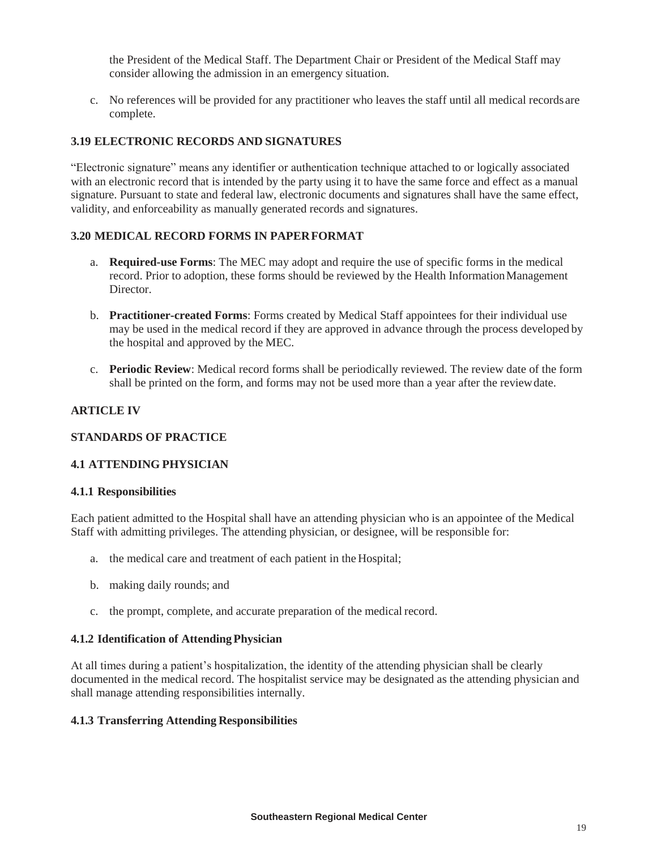the President of the Medical Staff. The Department Chair or President of the Medical Staff may consider allowing the admission in an emergency situation.

c. No references will be provided for any practitioner who leaves the staff until all medical records are complete.

### **3.19 ELECTRONIC RECORDS AND SIGNATURES**

"Electronic signature" means any identifier or authentication technique attached to or logically associated with an electronic record that is intended by the party using it to have the same force and effect as a manual signature. Pursuant to state and federal law, electronic documents and signatures shall have the same effect, validity, and enforceability as manually generated records and signatures.

### **3.20 MEDICAL RECORD FORMS IN PAPERFORMAT**

- a. **Required-use Forms**: The MEC may adopt and require the use of specific forms in the medical record. Prior to adoption, these forms should be reviewed by the Health InformationManagement Director.
- b. **Practitioner-created Forms**: Forms created by Medical Staff appointees for their individual use may be used in the medical record if they are approved in advance through the process developed by the hospital and approved by the MEC.
- c. **Periodic Review**: Medical record forms shall be periodically reviewed. The review date of the form shall be printed on the form, and forms may not be used more than a year after the reviewdate.

### **ARTICLE IV**

### **STANDARDS OF PRACTICE**

### **4.1 ATTENDING PHYSICIAN**

### **4.1.1 Responsibilities**

Each patient admitted to the Hospital shall have an attending physician who is an appointee of the Medical Staff with admitting privileges. The attending physician, or designee, will be responsible for:

- a. the medical care and treatment of each patient in the Hospital;
- b. making daily rounds; and
- c. the prompt, complete, and accurate preparation of the medical record.

### **4.1.2 Identification of AttendingPhysician**

At all times during a patient's hospitalization, the identity of the attending physician shall be clearly documented in the medical record. The hospitalist service may be designated as the attending physician and shall manage attending responsibilities internally.

### **4.1.3 Transferring Attending Responsibilities**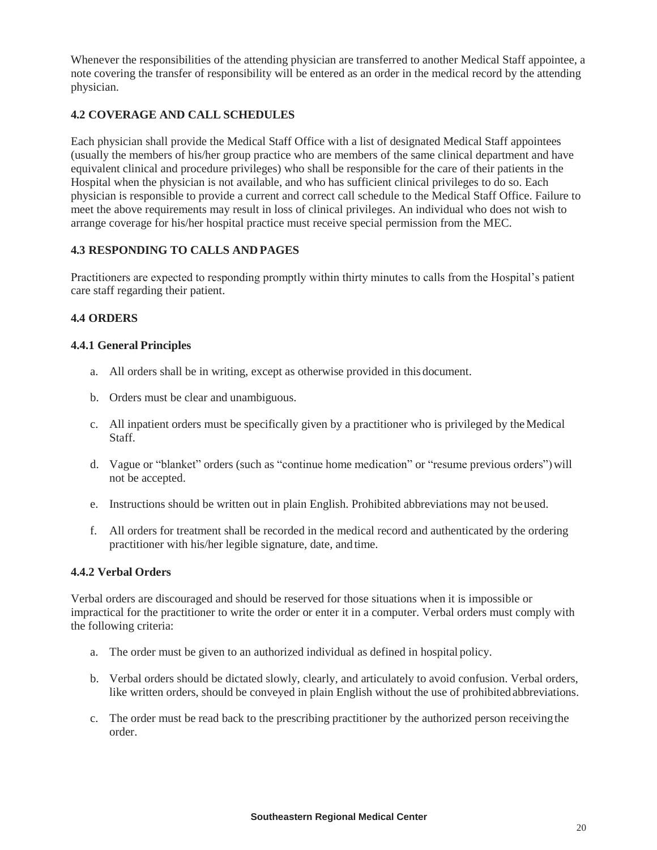Whenever the responsibilities of the attending physician are transferred to another Medical Staff appointee, a note covering the transfer of responsibility will be entered as an order in the medical record by the attending physician.

## **4.2 COVERAGE AND CALL SCHEDULES**

Each physician shall provide the Medical Staff Office with a list of designated Medical Staff appointees (usually the members of his/her group practice who are members of the same clinical department and have equivalent clinical and procedure privileges) who shall be responsible for the care of their patients in the Hospital when the physician is not available, and who has sufficient clinical privileges to do so. Each physician is responsible to provide a current and correct call schedule to the Medical Staff Office. Failure to meet the above requirements may result in loss of clinical privileges. An individual who does not wish to arrange coverage for his/her hospital practice must receive special permission from the MEC.

## **4.3 RESPONDING TO CALLS AND PAGES**

Practitioners are expected to responding promptly within thirty minutes to calls from the Hospital's patient care staff regarding their patient.

# **4.4 ORDERS**

## **4.4.1 General Principles**

- a. All orders shall be in writing, except as otherwise provided in this document.
- b. Orders must be clear and unambiguous.
- c. All inpatient orders must be specifically given by a practitioner who is privileged by theMedical Staff.
- d. Vague or "blanket" orders (such as "continue home medication" or "resume previous orders") will not be accepted.
- e. Instructions should be written out in plain English. Prohibited abbreviations may not beused.
- f. All orders for treatment shall be recorded in the medical record and authenticated by the ordering practitioner with his/her legible signature, date, and time.

## **4.4.2 Verbal Orders**

Verbal orders are discouraged and should be reserved for those situations when it is impossible or impractical for the practitioner to write the order or enter it in a computer. Verbal orders must comply with the following criteria:

- a. The order must be given to an authorized individual as defined in hospital policy.
- b. Verbal orders should be dictated slowly, clearly, and articulately to avoid confusion. Verbal orders, like written orders, should be conveyed in plain English without the use of prohibitedabbreviations.
- c. The order must be read back to the prescribing practitioner by the authorized person receivingthe order.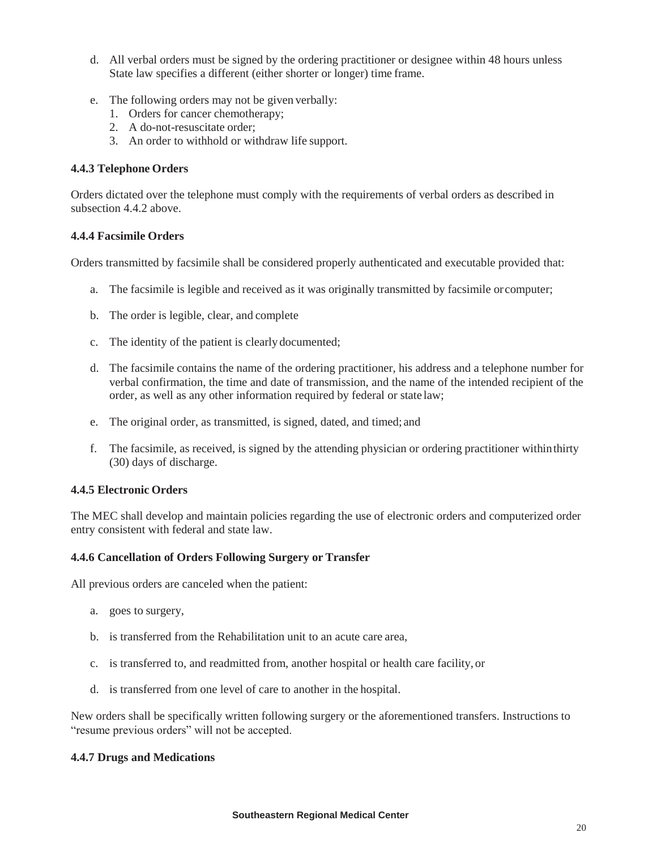- d. All verbal orders must be signed by the ordering practitioner or designee within 48 hours unless State law specifies a different (either shorter or longer) time frame.
- e. The following orders may not be given verbally:
	- 1. Orders for cancer chemotherapy;
	- 2. A do-not-resuscitate order;
	- 3. An order to withhold or withdraw life support.

### **4.4.3 Telephone Orders**

Orders dictated over the telephone must comply with the requirements of verbal orders as described in subsection 4.4.2 above.

### **4.4.4 Facsimile Orders**

Orders transmitted by facsimile shall be considered properly authenticated and executable provided that:

- a. The facsimile is legible and received as it was originally transmitted by facsimile or computer;
- b. The order is legible, clear, and complete
- c. The identity of the patient is clearly documented;
- d. The facsimile contains the name of the ordering practitioner, his address and a telephone number for verbal confirmation, the time and date of transmission, and the name of the intended recipient of the order, as well as any other information required by federal or state law;
- e. The original order, as transmitted, is signed, dated, and timed; and
- f. The facsimile, as received, is signed by the attending physician or ordering practitioner withinthirty (30) days of discharge.

### **4.4.5 Electronic Orders**

The MEC shall develop and maintain policies regarding the use of electronic orders and computerized order entry consistent with federal and state law.

### **4.4.6 Cancellation of Orders Following Surgery or Transfer**

All previous orders are canceled when the patient:

- a. goes to surgery,
- b. is transferred from the Rehabilitation unit to an acute care area,
- c. is transferred to, and readmitted from, another hospital or health care facility, or
- d. is transferred from one level of care to another in the hospital.

New orders shall be specifically written following surgery or the aforementioned transfers. Instructions to "resume previous orders" will not be accepted.

### **4.4.7 Drugs and Medications**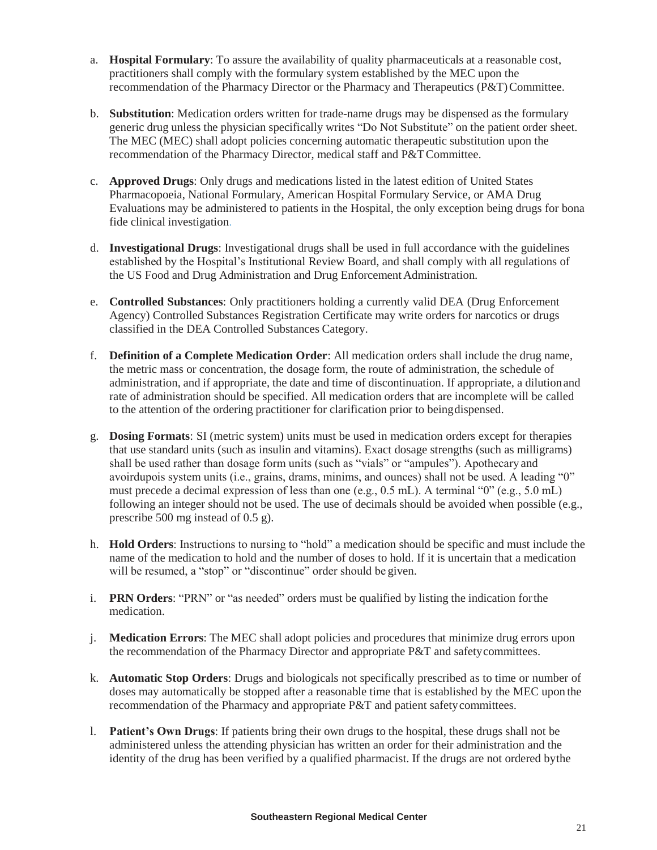- a. **Hospital Formulary**: To assure the availability of quality pharmaceuticals at a reasonable cost, practitioners shall comply with the formulary system established by the MEC upon the recommendation of the Pharmacy Director or the Pharmacy and Therapeutics (P&T)Committee.
- b. **Substitution**: Medication orders written for trade-name drugs may be dispensed as the formulary generic drug unless the physician specifically writes "Do Not Substitute" on the patient order sheet. The MEC (MEC) shall adopt policies concerning automatic therapeutic substitution upon the recommendation of the Pharmacy Director, medical staff and P&T Committee.
- c. **Approved Drugs**: Only drugs and medications listed in the latest edition of United States Pharmacopoeia, National Formulary, American Hospital Formulary Service, or AMA Drug Evaluations may be administered to patients in the Hospital, the only exception being drugs for bona fide clinical investigation.
- d. **Investigational Drugs**: Investigational drugs shall be used in full accordance with the guidelines established by the Hospital's Institutional Review Board, and shall comply with all regulations of the US Food and Drug Administration and Drug Enforcement Administration.
- e. **Controlled Substances**: Only practitioners holding a currently valid DEA (Drug Enforcement Agency) Controlled Substances Registration Certificate may write orders for narcotics or drugs classified in the DEA Controlled Substances Category.
- f. **Definition of a Complete Medication Order**: All medication orders shall include the drug name, the metric mass or concentration, the dosage form, the route of administration, the schedule of administration, and if appropriate, the date and time of discontinuation. If appropriate, a dilutionand rate of administration should be specified. All medication orders that are incomplete will be called to the attention of the ordering practitioner for clarification prior to beingdispensed.
- g. **Dosing Formats**: SI (metric system) units must be used in medication orders except for therapies that use standard units (such as insulin and vitamins). Exact dosage strengths (such as milligrams) shall be used rather than dosage form units (such as "vials" or "ampules"). Apothecary and avoirdupois system units (i.e., grains, drams, minims, and ounces) shall not be used. A leading "0" must precede a decimal expression of less than one (e.g., 0.5 mL). A terminal "0" (e.g., 5.0 mL) following an integer should not be used. The use of decimals should be avoided when possible (e.g., prescribe 500 mg instead of 0.5 g).
- h. **Hold Orders**: Instructions to nursing to "hold" a medication should be specific and must include the name of the medication to hold and the number of doses to hold. If it is uncertain that a medication will be resumed, a "stop" or "discontinue" order should be given.
- i. **PRN Orders**: "PRN" or "as needed" orders must be qualified by listing the indication forthe medication.
- j. **Medication Errors**: The MEC shall adopt policies and procedures that minimize drug errors upon the recommendation of the Pharmacy Director and appropriate P&T and safetycommittees.
- k. **Automatic Stop Orders**: Drugs and biologicals not specifically prescribed as to time or number of doses may automatically be stopped after a reasonable time that is established by the MEC upon the recommendation of the Pharmacy and appropriate P&T and patient safetycommittees.
- l. **Patient's Own Drugs**: If patients bring their own drugs to the hospital, these drugs shall not be administered unless the attending physician has written an order for their administration and the identity of the drug has been verified by a qualified pharmacist. If the drugs are not ordered bythe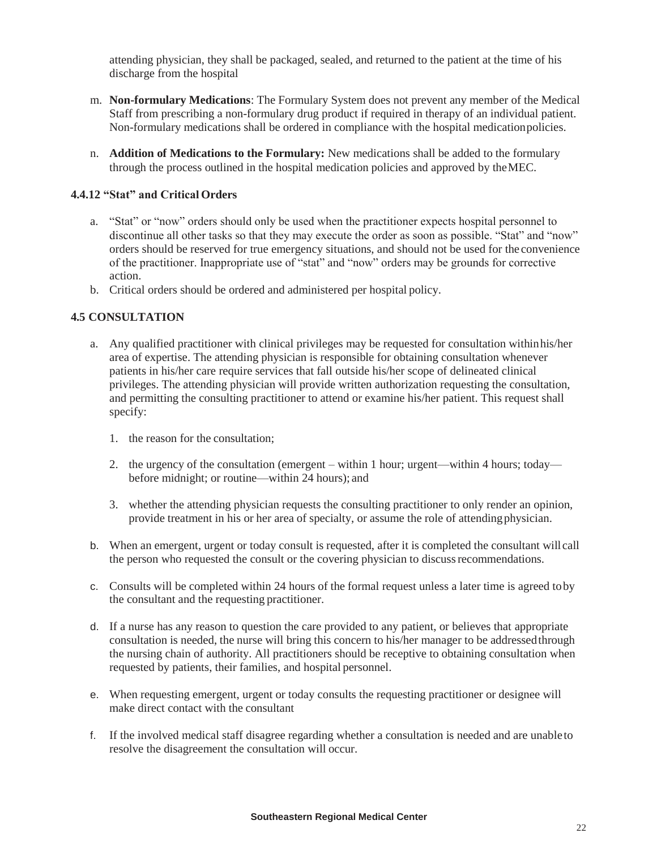attending physician, they shall be packaged, sealed, and returned to the patient at the time of his discharge from the hospital

- m. **Non-formulary Medications**: The Formulary System does not prevent any member of the Medical Staff from prescribing a non-formulary drug product if required in therapy of an individual patient. Non-formulary medications shall be ordered in compliance with the hospital medicationpolicies.
- n. **Addition of Medications to the Formulary:** New medications shall be added to the formulary through the process outlined in the hospital medication policies and approved by theMEC.

### **4.4.12 "Stat" and Critical Orders**

- a. "Stat" or "now" orders should only be used when the practitioner expects hospital personnel to discontinue all other tasks so that they may execute the order as soon as possible. "Stat" and "now" orders should be reserved for true emergency situations, and should not be used for the convenience of the practitioner. Inappropriate use of "stat" and "now" orders may be grounds for corrective action.
- b. Critical orders should be ordered and administered per hospital policy.

### **4.5 CONSULTATION**

- a. Any qualified practitioner with clinical privileges may be requested for consultation withinhis/her area of expertise. The attending physician is responsible for obtaining consultation whenever patients in his/her care require services that fall outside his/her scope of delineated clinical privileges. The attending physician will provide written authorization requesting the consultation, and permitting the consulting practitioner to attend or examine his/her patient. This request shall specify:
	- 1. the reason for the consultation;
	- 2. the urgency of the consultation (emergent within 1 hour; urgent—within 4 hours; today before midnight; or routine—within 24 hours); and
	- 3. whether the attending physician requests the consulting practitioner to only render an opinion, provide treatment in his or her area of specialty, or assume the role of attendingphysician.
- b. When an emergent, urgent or today consult is requested, after it is completed the consultant will call the person who requested the consult or the covering physician to discussrecommendations.
- c. Consults will be completed within 24 hours of the formal request unless a later time is agreed toby the consultant and the requesting practitioner.
- d. If a nurse has any reason to question the care provided to any patient, or believes that appropriate consultation is needed, the nurse will bring this concern to his/her manager to be addressedthrough the nursing chain of authority. All practitioners should be receptive to obtaining consultation when requested by patients, their families, and hospital personnel.
- e. When requesting emergent, urgent or today consults the requesting practitioner or designee will make direct contact with the consultant
- f. If the involved medical staff disagree regarding whether a consultation is needed and are unableto resolve the disagreement the consultation will occur.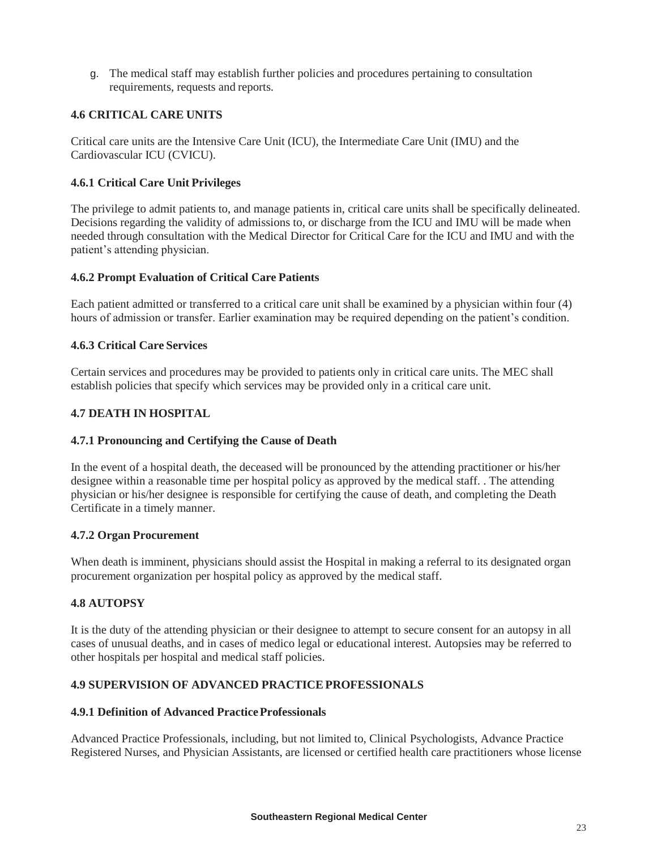g. The medical staff may establish further policies and procedures pertaining to consultation requirements, requests and reports.

## **4.6 CRITICAL CARE UNITS**

Critical care units are the Intensive Care Unit (ICU), the Intermediate Care Unit (IMU) and the Cardiovascular ICU (CVICU).

### **4.6.1 Critical Care Unit Privileges**

The privilege to admit patients to, and manage patients in, critical care units shall be specifically delineated. Decisions regarding the validity of admissions to, or discharge from the ICU and IMU will be made when needed through consultation with the Medical Director for Critical Care for the ICU and IMU and with the patient's attending physician.

### **4.6.2 Prompt Evaluation of Critical Care Patients**

Each patient admitted or transferred to a critical care unit shall be examined by a physician within four (4) hours of admission or transfer. Earlier examination may be required depending on the patient's condition.

### **4.6.3 Critical Care Services**

Certain services and procedures may be provided to patients only in critical care units. The MEC shall establish policies that specify which services may be provided only in a critical care unit.

### **4.7 DEATH IN HOSPITAL**

### **4.7.1 Pronouncing and Certifying the Cause of Death**

In the event of a hospital death, the deceased will be pronounced by the attending practitioner or his/her designee within a reasonable time per hospital policy as approved by the medical staff. . The attending physician or his/her designee is responsible for certifying the cause of death, and completing the Death Certificate in a timely manner.

### **4.7.2 Organ Procurement**

When death is imminent, physicians should assist the Hospital in making a referral to its designated organ procurement organization per hospital policy as approved by the medical staff.

## **4.8 AUTOPSY**

It is the duty of the attending physician or their designee to attempt to secure consent for an autopsy in all cases of unusual deaths, and in cases of medico legal or educational interest. Autopsies may be referred to other hospitals per hospital and medical staff policies.

## **4.9 SUPERVISION OF ADVANCED PRACTICEPROFESSIONALS**

### **4.9.1 Definition of Advanced PracticeProfessionals**

Advanced Practice Professionals, including, but not limited to, Clinical Psychologists, Advance Practice Registered Nurses, and Physician Assistants, are licensed or certified health care practitioners whose license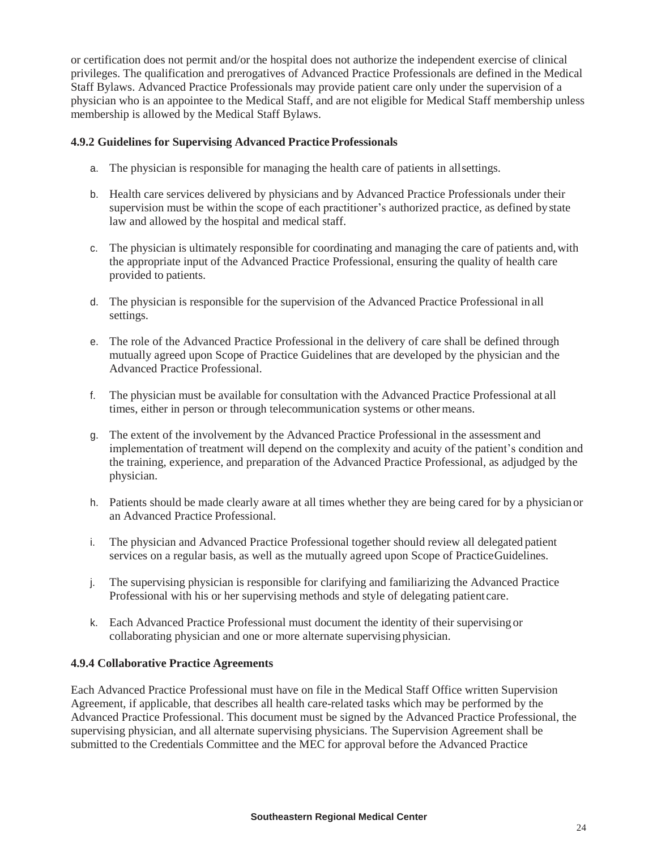or certification does not permit and/or the hospital does not authorize the independent exercise of clinical privileges. The qualification and prerogatives of Advanced Practice Professionals are defined in the Medical Staff Bylaws. Advanced Practice Professionals may provide patient care only under the supervision of a physician who is an appointee to the Medical Staff, and are not eligible for Medical Staff membership unless membership is allowed by the Medical Staff Bylaws.

### **4.9.2 Guidelines for Supervising Advanced Practice Professionals**

- a. The physician is responsible for managing the health care of patients in allsettings.
- b. Health care services delivered by physicians and by Advanced Practice Professionals under their supervision must be within the scope of each practitioner's authorized practice, as defined bystate law and allowed by the hospital and medical staff.
- c. The physician is ultimately responsible for coordinating and managing the care of patients and,with the appropriate input of the Advanced Practice Professional, ensuring the quality of health care provided to patients.
- d. The physician is responsible for the supervision of the Advanced Practice Professional in all settings.
- e. The role of the Advanced Practice Professional in the delivery of care shall be defined through mutually agreed upon Scope of Practice Guidelines that are developed by the physician and the Advanced Practice Professional.
- f. The physician must be available for consultation with the Advanced Practice Professional at all times, either in person or through telecommunication systems or othermeans.
- g. The extent of the involvement by the Advanced Practice Professional in the assessment and implementation of treatment will depend on the complexity and acuity of the patient's condition and the training, experience, and preparation of the Advanced Practice Professional, as adjudged by the physician.
- h. Patients should be made clearly aware at all times whether they are being cared for by a physician or an Advanced Practice Professional.
- i. The physician and Advanced Practice Professional together should review all delegated patient services on a regular basis, as well as the mutually agreed upon Scope of PracticeGuidelines.
- j. The supervising physician is responsible for clarifying and familiarizing the Advanced Practice Professional with his or her supervising methods and style of delegating patient care.
- k. Each Advanced Practice Professional must document the identity of their supervising or collaborating physician and one or more alternate supervising physician.

### **4.9.4 Collaborative Practice Agreements**

Each Advanced Practice Professional must have on file in the Medical Staff Office written Supervision Agreement, if applicable, that describes all health care-related tasks which may be performed by the Advanced Practice Professional. This document must be signed by the Advanced Practice Professional, the supervising physician, and all alternate supervising physicians. The Supervision Agreement shall be submitted to the Credentials Committee and the MEC for approval before the Advanced Practice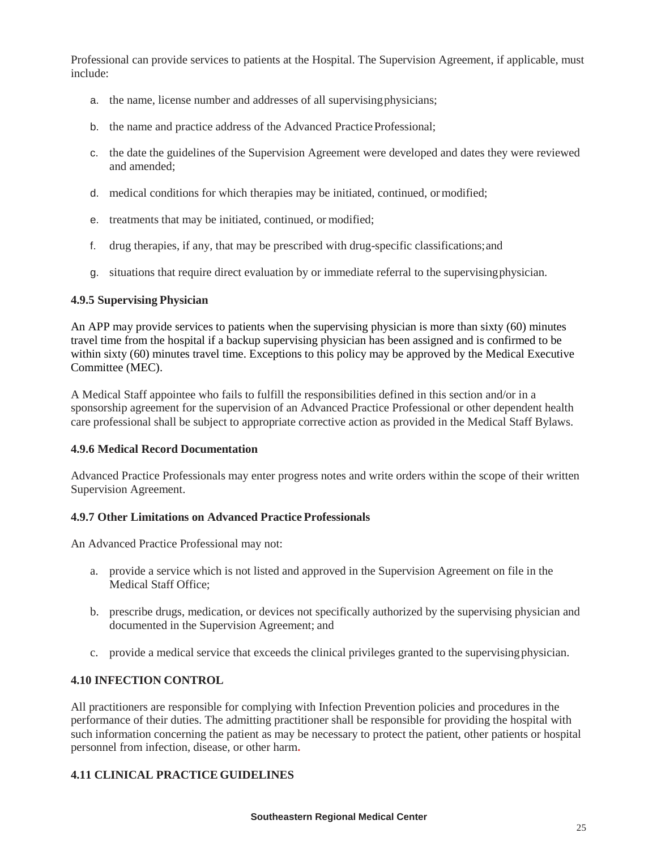Professional can provide services to patients at the Hospital. The Supervision Agreement, if applicable, must include:

- a. the name, license number and addresses of all supervisingphysicians;
- b. the name and practice address of the Advanced Practice Professional;
- c. the date the guidelines of the Supervision Agreement were developed and dates they were reviewed and amended;
- d. medical conditions for which therapies may be initiated, continued, ormodified;
- e. treatments that may be initiated, continued, or modified;
- f. drug therapies, if any, that may be prescribed with drug-specific classifications;and
- g. situations that require direct evaluation by or immediate referral to the supervisingphysician.

### **4.9.5 Supervising Physician**

An APP may provide services to patients when the supervising physician is more than sixty (60) minutes travel time from the hospital if a backup supervising physician has been assigned and is confirmed to be within sixty (60) minutes travel time. Exceptions to this policy may be approved by the Medical Executive Committee (MEC).

A Medical Staff appointee who fails to fulfill the responsibilities defined in this section and/or in a sponsorship agreement for the supervision of an Advanced Practice Professional or other dependent health care professional shall be subject to appropriate corrective action as provided in the Medical Staff Bylaws.

### **4.9.6 Medical Record Documentation**

Advanced Practice Professionals may enter progress notes and write orders within the scope of their written Supervision Agreement.

## **4.9.7 Other Limitations on Advanced Practice Professionals**

An Advanced Practice Professional may not:

- a. provide a service which is not listed and approved in the Supervision Agreement on file in the Medical Staff Office;
- b. prescribe drugs, medication, or devices not specifically authorized by the supervising physician and documented in the Supervision Agreement; and
- c. provide a medical service that exceeds the clinical privileges granted to the supervisingphysician.

### **4.10 INFECTION CONTROL**

All practitioners are responsible for complying with Infection Prevention policies and procedures in the performance of their duties. The admitting practitioner shall be responsible for providing the hospital with such information concerning the patient as may be necessary to protect the patient, other patients or hospital personnel from infection, disease, or other harm**.**

## **4.11 CLINICAL PRACTICE GUIDELINES**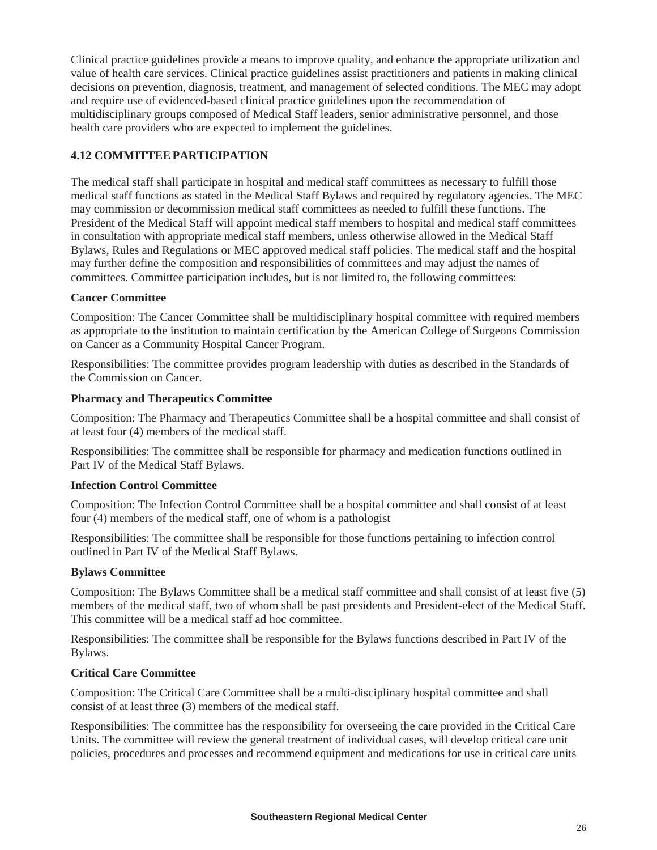Clinical practice guidelines provide a means to improve quality, and enhance the appropriate utilization and value of health care services. Clinical practice guidelines assist practitioners and patients in making clinical decisions on prevention, diagnosis, treatment, and management of selected conditions. The MEC may adopt and require use of evidenced-based clinical practice guidelines upon the recommendation of multidisciplinary groups composed of Medical Staff leaders, senior administrative personnel, and those health care providers who are expected to implement the guidelines.

# **4.12 COMMITTEEPARTICIPATION**

The medical staff shall participate in hospital and medical staff committees as necessary to fulfill those medical staff functions as stated in the Medical Staff Bylaws and required by regulatory agencies. The MEC may commission or decommission medical staff committees as needed to fulfill these functions. The President of the Medical Staff will appoint medical staff members to hospital and medical staff committees in consultation with appropriate medical staff members, unless otherwise allowed in the Medical Staff Bylaws, Rules and Regulations or MEC approved medical staff policies. The medical staff and the hospital may further define the composition and responsibilities of committees and may adjust the names of committees. Committee participation includes, but is not limited to, the following committees:

## **Cancer Committee**

Composition: The Cancer Committee shall be multidisciplinary hospital committee with required members as appropriate to the institution to maintain certification by the American College of Surgeons Commission on Cancer as a Community Hospital Cancer Program.

Responsibilities: The committee provides program leadership with duties as described in the Standards of the Commission on Cancer.

### **Pharmacy and Therapeutics Committee**

Composition: The Pharmacy and Therapeutics Committee shall be a hospital committee and shall consist of at least four (4) members of the medical staff.

Responsibilities: The committee shall be responsible for pharmacy and medication functions outlined in Part IV of the Medical Staff Bylaws.

### **Infection Control Committee**

Composition: The Infection Control Committee shall be a hospital committee and shall consist of at least four (4) members of the medical staff, one of whom is a pathologist

Responsibilities: The committee shall be responsible for those functions pertaining to infection control outlined in Part IV of the Medical Staff Bylaws.

## **Bylaws Committee**

Composition: The Bylaws Committee shall be a medical staff committee and shall consist of at least five (5) members of the medical staff, two of whom shall be past presidents and President-elect of the Medical Staff. This committee will be a medical staff ad hoc committee.

Responsibilities: The committee shall be responsible for the Bylaws functions described in Part IV of the Bylaws.

### **Critical Care Committee**

Composition: The Critical Care Committee shall be a multi-disciplinary hospital committee and shall consist of at least three (3) members of the medical staff.

Responsibilities: The committee has the responsibility for overseeing the care provided in the Critical Care Units. The committee will review the general treatment of individual cases, will develop critical care unit policies, procedures and processes and recommend equipment and medications for use in critical care units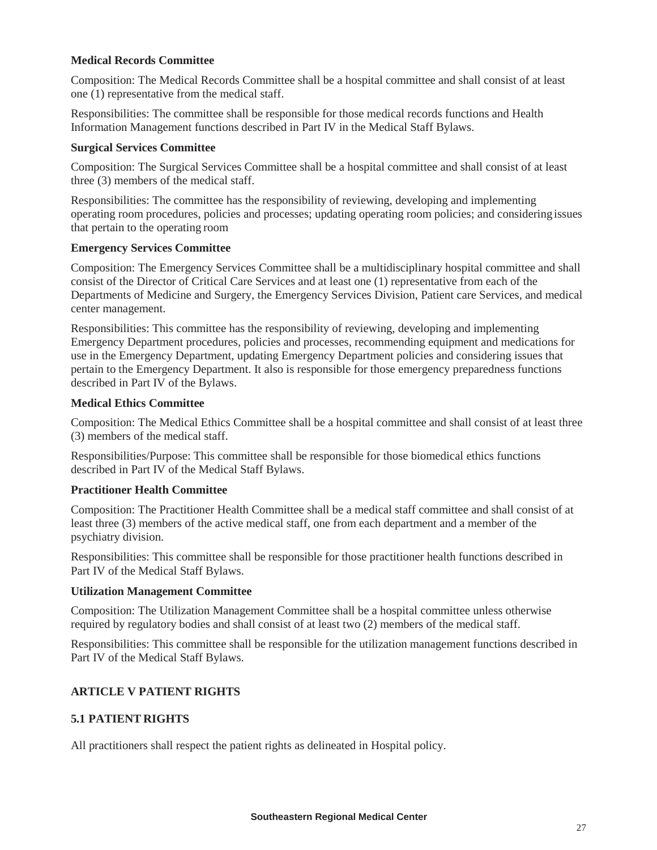### **Medical Records Committee**

Composition: The Medical Records Committee shall be a hospital committee and shall consist of at least one (1) representative from the medical staff.

Responsibilities: The committee shall be responsible for those medical records functions and Health Information Management functions described in Part IV in the Medical Staff Bylaws.

### **Surgical Services Committee**

Composition: The Surgical Services Committee shall be a hospital committee and shall consist of at least three (3) members of the medical staff.

Responsibilities: The committee has the responsibility of reviewing, developing and implementing operating room procedures, policies and processes; updating operating room policies; and considering issues that pertain to the operating room

### **Emergency Services Committee**

Composition: The Emergency Services Committee shall be a multidisciplinary hospital committee and shall consist of the Director of Critical Care Services and at least one (1) representative from each of the Departments of Medicine and Surgery, the Emergency Services Division, Patient care Services, and medical center management.

Responsibilities: This committee has the responsibility of reviewing, developing and implementing Emergency Department procedures, policies and processes, recommending equipment and medications for use in the Emergency Department, updating Emergency Department policies and considering issues that pertain to the Emergency Department. It also is responsible for those emergency preparedness functions described in Part IV of the Bylaws.

### **Medical Ethics Committee**

Composition: The Medical Ethics Committee shall be a hospital committee and shall consist of at least three (3) members of the medical staff.

Responsibilities/Purpose: This committee shall be responsible for those biomedical ethics functions described in Part IV of the Medical Staff Bylaws.

## **Practitioner Health Committee**

Composition: The Practitioner Health Committee shall be a medical staff committee and shall consist of at least three (3) members of the active medical staff, one from each department and a member of the psychiatry division.

Responsibilities: This committee shall be responsible for those practitioner health functions described in Part IV of the Medical Staff Bylaws.

### **Utilization Management Committee**

Composition: The Utilization Management Committee shall be a hospital committee unless otherwise required by regulatory bodies and shall consist of at least two (2) members of the medical staff.

Responsibilities: This committee shall be responsible for the utilization management functions described in Part IV of the Medical Staff Bylaws.

## **ARTICLE V PATIENT RIGHTS**

## **5.1 PATIENT RIGHTS**

All practitioners shall respect the patient rights as delineated in Hospital policy.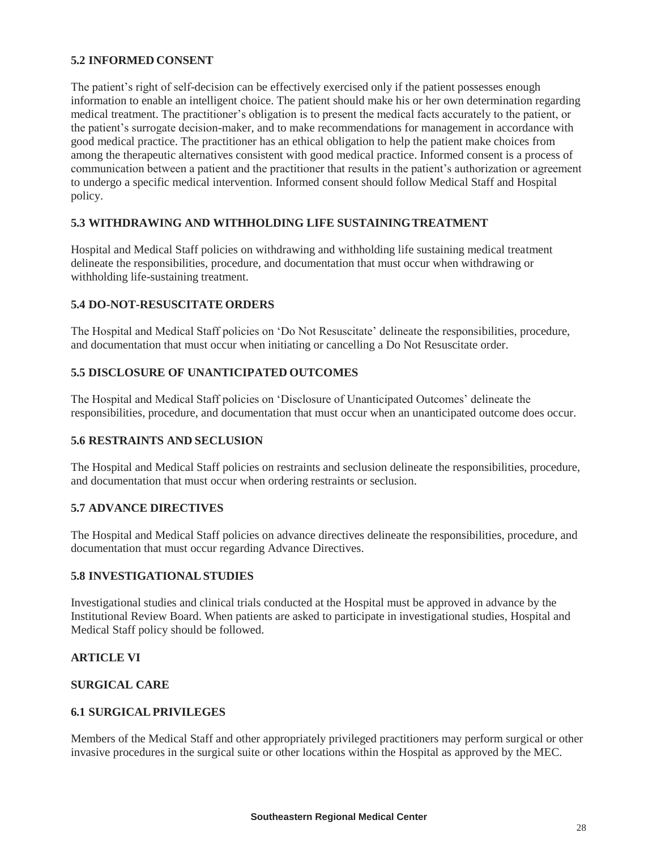### **5.2 INFORMED CONSENT**

The patient's right of self-decision can be effectively exercised only if the patient possesses enough information to enable an intelligent choice. The patient should make his or her own determination regarding medical treatment. The practitioner's obligation is to present the medical facts accurately to the patient, or the patient's surrogate decision-maker, and to make recommendations for management in accordance with good medical practice. The practitioner has an ethical obligation to help the patient make choices from among the therapeutic alternatives consistent with good medical practice. Informed consent is a process of communication between a patient and the practitioner that results in the patient's authorization or agreement to undergo a specific medical intervention. Informed consent should follow Medical Staff and Hospital policy.

### **5.3 WITHDRAWING AND WITHHOLDING LIFE SUSTAININGTREATMENT**

Hospital and Medical Staff policies on withdrawing and withholding life sustaining medical treatment delineate the responsibilities, procedure, and documentation that must occur when withdrawing or withholding life-sustaining treatment.

### **5.4 DO-NOT-RESUSCITATE ORDERS**

The Hospital and Medical Staff policies on 'Do Not Resuscitate' delineate the responsibilities, procedure, and documentation that must occur when initiating or cancelling a Do Not Resuscitate order.

### **5.5 DISCLOSURE OF UNANTICIPATED OUTCOMES**

The Hospital and Medical Staff policies on 'Disclosure of Unanticipated Outcomes' delineate the responsibilities, procedure, and documentation that must occur when an unanticipated outcome does occur.

### **5.6 RESTRAINTS AND SECLUSION**

The Hospital and Medical Staff policies on restraints and seclusion delineate the responsibilities, procedure, and documentation that must occur when ordering restraints or seclusion.

### **5.7 ADVANCE DIRECTIVES**

The Hospital and Medical Staff policies on advance directives delineate the responsibilities, procedure, and documentation that must occur regarding Advance Directives.

### **5.8 INVESTIGATIONALSTUDIES**

Investigational studies and clinical trials conducted at the Hospital must be approved in advance by the Institutional Review Board. When patients are asked to participate in investigational studies, Hospital and Medical Staff policy should be followed.

### **ARTICLE VI**

### **SURGICAL CARE**

### **6.1 SURGICALPRIVILEGES**

Members of the Medical Staff and other appropriately privileged practitioners may perform surgical or other invasive procedures in the surgical suite or other locations within the Hospital as approved by the MEC.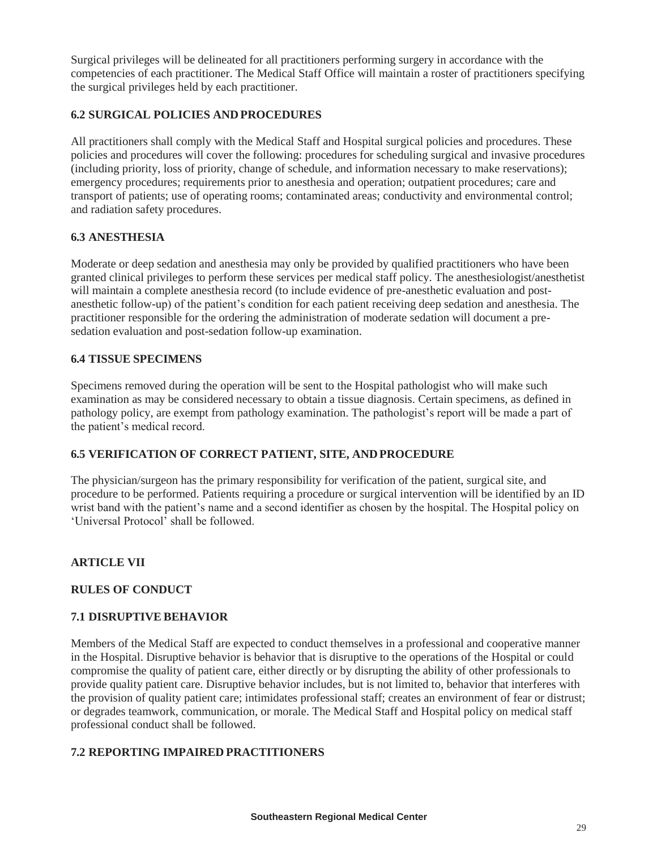Surgical privileges will be delineated for all practitioners performing surgery in accordance with the competencies of each practitioner. The Medical Staff Office will maintain a roster of practitioners specifying the surgical privileges held by each practitioner.

# **6.2 SURGICAL POLICIES AND PROCEDURES**

All practitioners shall comply with the Medical Staff and Hospital surgical policies and procedures. These policies and procedures will cover the following: procedures for scheduling surgical and invasive procedures (including priority, loss of priority, change of schedule, and information necessary to make reservations); emergency procedures; requirements prior to anesthesia and operation; outpatient procedures; care and transport of patients; use of operating rooms; contaminated areas; conductivity and environmental control; and radiation safety procedures.

### **6.3 ANESTHESIA**

Moderate or deep sedation and anesthesia may only be provided by qualified practitioners who have been granted clinical privileges to perform these services per medical staff policy. The anesthesiologist/anesthetist will maintain a complete anesthesia record (to include evidence of pre-anesthetic evaluation and postanesthetic follow-up) of the patient's condition for each patient receiving deep sedation and anesthesia. The practitioner responsible for the ordering the administration of moderate sedation will document a presedation evaluation and post-sedation follow-up examination.

### **6.4 TISSUE SPECIMENS**

Specimens removed during the operation will be sent to the Hospital pathologist who will make such examination as may be considered necessary to obtain a tissue diagnosis. Certain specimens, as defined in pathology policy, are exempt from pathology examination. The pathologist's report will be made a part of the patient's medical record.

## **6.5 VERIFICATION OF CORRECT PATIENT, SITE, ANDPROCEDURE**

The physician/surgeon has the primary responsibility for verification of the patient, surgical site, and procedure to be performed. Patients requiring a procedure or surgical intervention will be identified by an ID wrist band with the patient's name and a second identifier as chosen by the hospital. The Hospital policy on 'Universal Protocol' shall be followed.

## **ARTICLE VII**

### **RULES OF CONDUCT**

### **7.1 DISRUPTIVE BEHAVIOR**

Members of the Medical Staff are expected to conduct themselves in a professional and cooperative manner in the Hospital. Disruptive behavior is behavior that is disruptive to the operations of the Hospital or could compromise the quality of patient care, either directly or by disrupting the ability of other professionals to provide quality patient care. Disruptive behavior includes, but is not limited to, behavior that interferes with the provision of quality patient care; intimidates professional staff; creates an environment of fear or distrust; or degrades teamwork, communication, or morale. The Medical Staff and Hospital policy on medical staff professional conduct shall be followed.

## **7.2 REPORTING IMPAIRED PRACTITIONERS**